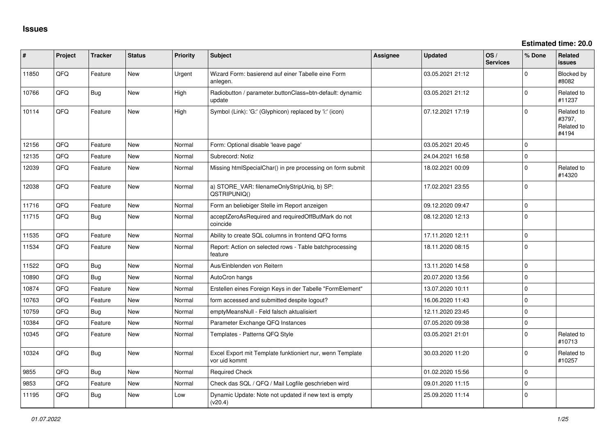| #     | Project | <b>Tracker</b> | <b>Status</b> | <b>Priority</b> | <b>Subject</b>                                                             | <b>Assignee</b> | <b>Updated</b>   | OS/<br><b>Services</b> | % Done       | <b>Related</b><br><b>issues</b>             |
|-------|---------|----------------|---------------|-----------------|----------------------------------------------------------------------------|-----------------|------------------|------------------------|--------------|---------------------------------------------|
| 11850 | QFQ     | Feature        | <b>New</b>    | Urgent          | Wizard Form: basierend auf einer Tabelle eine Form<br>anlegen.             |                 | 03.05.2021 21:12 |                        | 0            | Blocked by<br>#8082                         |
| 10766 | QFQ     | <b>Bug</b>     | <b>New</b>    | High            | Radiobutton / parameter.buttonClass=btn-default: dynamic<br>update         |                 | 03.05.2021 21:12 |                        | 0            | Related to<br>#11237                        |
| 10114 | QFQ     | Feature        | <b>New</b>    | High            | Symbol (Link): 'G:' (Glyphicon) replaced by 'i:' (icon)                    |                 | 07.12.2021 17:19 |                        | 0            | Related to<br>#3797,<br>Related to<br>#4194 |
| 12156 | QFQ     | Feature        | <b>New</b>    | Normal          | Form: Optional disable 'leave page'                                        |                 | 03.05.2021 20:45 |                        | $\mathbf 0$  |                                             |
| 12135 | QFQ     | Feature        | <b>New</b>    | Normal          | Subrecord: Notiz                                                           |                 | 24.04.2021 16:58 |                        | $\mathbf 0$  |                                             |
| 12039 | QFQ     | Feature        | New           | Normal          | Missing htmlSpecialChar() in pre processing on form submit                 |                 | 18.02.2021 00:09 |                        | $\mathbf{0}$ | Related to<br>#14320                        |
| 12038 | QFQ     | Feature        | <b>New</b>    | Normal          | a) STORE_VAR: filenameOnlyStripUniq, b) SP:<br>QSTRIPUNIQ()                |                 | 17.02.2021 23:55 |                        | $\Omega$     |                                             |
| 11716 | QFQ     | Feature        | <b>New</b>    | Normal          | Form an beliebiger Stelle im Report anzeigen                               |                 | 09.12.2020 09:47 |                        | 0            |                                             |
| 11715 | QFQ     | Bug            | <b>New</b>    | Normal          | acceptZeroAsRequired and requiredOffButMark do not<br>coincide             |                 | 08.12.2020 12:13 |                        | 0            |                                             |
| 11535 | QFQ     | Feature        | <b>New</b>    | Normal          | Ability to create SQL columns in frontend QFQ forms                        |                 | 17.11.2020 12:11 |                        | $\mathbf{0}$ |                                             |
| 11534 | QFQ     | Feature        | <b>New</b>    | Normal          | Report: Action on selected rows - Table batchprocessing<br>feature         |                 | 18.11.2020 08:15 |                        | $\Omega$     |                                             |
| 11522 | QFQ     | Bug            | <b>New</b>    | Normal          | Aus/Einblenden von Reitern                                                 |                 | 13.11.2020 14:58 |                        | $\mathbf{0}$ |                                             |
| 10890 | QFQ     | Bug            | <b>New</b>    | Normal          | AutoCron hangs                                                             |                 | 20.07.2020 13:56 |                        | $\mathbf 0$  |                                             |
| 10874 | QFQ     | Feature        | <b>New</b>    | Normal          | Erstellen eines Foreign Keys in der Tabelle "FormElement"                  |                 | 13.07.2020 10:11 |                        | $\Omega$     |                                             |
| 10763 | QFQ     | Feature        | <b>New</b>    | Normal          | form accessed and submitted despite logout?                                |                 | 16.06.2020 11:43 |                        | 0            |                                             |
| 10759 | QFQ     | Bug            | <b>New</b>    | Normal          | emptyMeansNull - Feld falsch aktualisiert                                  |                 | 12.11.2020 23:45 |                        | $\mathbf 0$  |                                             |
| 10384 | QFQ     | Feature        | New           | Normal          | Parameter Exchange QFQ Instances                                           |                 | 07.05.2020 09:38 |                        | $\mathbf 0$  |                                             |
| 10345 | QFQ     | Feature        | New           | Normal          | Templates - Patterns QFQ Style                                             |                 | 03.05.2021 21:01 |                        | $\mathbf 0$  | Related to<br>#10713                        |
| 10324 | QFQ     | <b>Bug</b>     | <b>New</b>    | Normal          | Excel Export mit Template funktioniert nur, wenn Template<br>vor uid kommt |                 | 30.03.2020 11:20 |                        | $\Omega$     | Related to<br>#10257                        |
| 9855  | QFQ     | Bug            | <b>New</b>    | Normal          | <b>Required Check</b>                                                      |                 | 01.02.2020 15:56 |                        | $\mathbf 0$  |                                             |
| 9853  | QFQ     | Feature        | <b>New</b>    | Normal          | Check das SQL / QFQ / Mail Logfile geschrieben wird                        |                 | 09.01.2020 11:15 |                        | 0            |                                             |
| 11195 | QFQ     | <b>Bug</b>     | <b>New</b>    | Low             | Dynamic Update: Note not updated if new text is empty<br>(v20.4)           |                 | 25.09.2020 11:14 |                        | $\mathbf 0$  |                                             |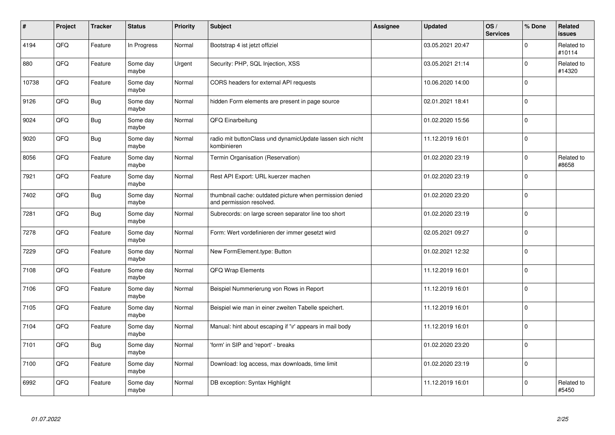| $\sharp$ | Project | <b>Tracker</b> | <b>Status</b>     | <b>Priority</b> | <b>Subject</b>                                                                       | Assignee | <b>Updated</b>   | OS/<br><b>Services</b> | % Done         | Related<br>issues    |
|----------|---------|----------------|-------------------|-----------------|--------------------------------------------------------------------------------------|----------|------------------|------------------------|----------------|----------------------|
| 4194     | QFQ     | Feature        | In Progress       | Normal          | Bootstrap 4 ist jetzt offiziel                                                       |          | 03.05.2021 20:47 |                        | $\Omega$       | Related to<br>#10114 |
| 880      | QFQ     | Feature        | Some day<br>maybe | Urgent          | Security: PHP, SQL Injection, XSS                                                    |          | 03.05.2021 21:14 |                        | $\mathbf 0$    | Related to<br>#14320 |
| 10738    | QFQ     | Feature        | Some day<br>maybe | Normal          | CORS headers for external API requests                                               |          | 10.06.2020 14:00 |                        | $\Omega$       |                      |
| 9126     | QFQ     | Bug            | Some day<br>maybe | Normal          | hidden Form elements are present in page source                                      |          | 02.01.2021 18:41 |                        | $\Omega$       |                      |
| 9024     | QFQ     | <b>Bug</b>     | Some day<br>maybe | Normal          | QFQ Einarbeitung                                                                     |          | 01.02.2020 15:56 |                        | $\overline{0}$ |                      |
| 9020     | QFQ     | <b>Bug</b>     | Some day<br>maybe | Normal          | radio mit buttonClass und dynamicUpdate lassen sich nicht<br>kombinieren             |          | 11.12.2019 16:01 |                        | $\Omega$       |                      |
| 8056     | QFQ     | Feature        | Some day<br>maybe | Normal          | Termin Organisation (Reservation)                                                    |          | 01.02.2020 23:19 |                        | $\mathbf 0$    | Related to<br>#8658  |
| 7921     | QFQ     | Feature        | Some day<br>maybe | Normal          | Rest API Export: URL kuerzer machen                                                  |          | 01.02.2020 23:19 |                        | $\Omega$       |                      |
| 7402     | QFQ     | Bug            | Some day<br>maybe | Normal          | thumbnail cache: outdated picture when permission denied<br>and permission resolved. |          | 01.02.2020 23:20 |                        | $\Omega$       |                      |
| 7281     | QFQ     | Bug            | Some day<br>maybe | Normal          | Subrecords: on large screen separator line too short                                 |          | 01.02.2020 23:19 |                        | $\Omega$       |                      |
| 7278     | QFQ     | Feature        | Some day<br>maybe | Normal          | Form: Wert vordefinieren der immer gesetzt wird                                      |          | 02.05.2021 09:27 |                        | $\mathbf 0$    |                      |
| 7229     | QFQ     | Feature        | Some day<br>maybe | Normal          | New FormElement.type: Button                                                         |          | 01.02.2021 12:32 |                        | $\mathbf 0$    |                      |
| 7108     | QFQ     | Feature        | Some day<br>maybe | Normal          | QFQ Wrap Elements                                                                    |          | 11.12.2019 16:01 |                        | $\mathbf 0$    |                      |
| 7106     | QFQ     | Feature        | Some day<br>maybe | Normal          | Beispiel Nummerierung von Rows in Report                                             |          | 11.12.2019 16:01 |                        | $\mathbf 0$    |                      |
| 7105     | QFQ     | Feature        | Some day<br>maybe | Normal          | Beispiel wie man in einer zweiten Tabelle speichert.                                 |          | 11.12.2019 16:01 |                        | $\Omega$       |                      |
| 7104     | QFQ     | Feature        | Some day<br>maybe | Normal          | Manual: hint about escaping if '\r' appears in mail body                             |          | 11.12.2019 16:01 |                        | $\Omega$       |                      |
| 7101     | QFQ     | Bug            | Some day<br>maybe | Normal          | 'form' in SIP and 'report' - breaks                                                  |          | 01.02.2020 23:20 |                        | $\Omega$       |                      |
| 7100     | QFQ     | Feature        | Some day<br>maybe | Normal          | Download: log access, max downloads, time limit                                      |          | 01.02.2020 23:19 |                        | $\mathbf 0$    |                      |
| 6992     | QFQ     | Feature        | Some day<br>maybe | Normal          | DB exception: Syntax Highlight                                                       |          | 11.12.2019 16:01 |                        | $\Omega$       | Related to<br>#5450  |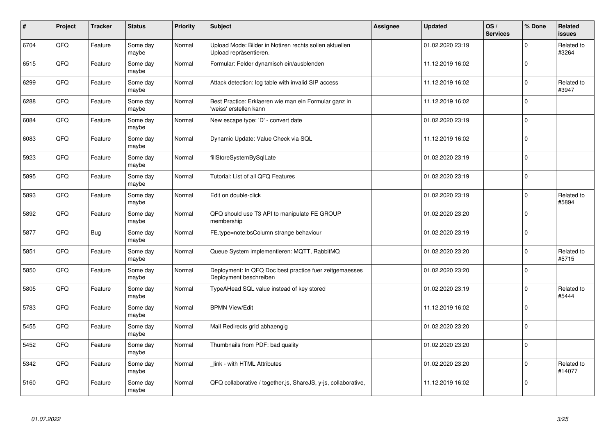| $\pmb{\#}$ | Project | <b>Tracker</b> | <b>Status</b>     | <b>Priority</b> | <b>Subject</b>                                                                    | Assignee | <b>Updated</b>   | OS/<br><b>Services</b> | % Done       | Related<br>issues    |
|------------|---------|----------------|-------------------|-----------------|-----------------------------------------------------------------------------------|----------|------------------|------------------------|--------------|----------------------|
| 6704       | QFQ     | Feature        | Some day<br>maybe | Normal          | Upload Mode: Bilder in Notizen rechts sollen aktuellen<br>Upload repräsentieren.  |          | 01.02.2020 23:19 |                        | $\mathbf 0$  | Related to<br>#3264  |
| 6515       | QFQ     | Feature        | Some day<br>maybe | Normal          | Formular: Felder dynamisch ein/ausblenden                                         |          | 11.12.2019 16:02 |                        | $\mathbf 0$  |                      |
| 6299       | QFQ     | Feature        | Some day<br>maybe | Normal          | Attack detection: log table with invalid SIP access                               |          | 11.12.2019 16:02 |                        | $\mathbf 0$  | Related to<br>#3947  |
| 6288       | QFQ     | Feature        | Some day<br>maybe | Normal          | Best Practice: Erklaeren wie man ein Formular ganz in<br>weiss' erstellen kann    |          | 11.12.2019 16:02 |                        | $\Omega$     |                      |
| 6084       | QFQ     | Feature        | Some day<br>maybe | Normal          | New escape type: 'D' - convert date                                               |          | 01.02.2020 23:19 |                        | $\Omega$     |                      |
| 6083       | QFQ     | Feature        | Some day<br>maybe | Normal          | Dynamic Update: Value Check via SQL                                               |          | 11.12.2019 16:02 |                        | $\Omega$     |                      |
| 5923       | QFQ     | Feature        | Some day<br>maybe | Normal          | fillStoreSystemBySqlLate                                                          |          | 01.02.2020 23:19 |                        | $\mathbf 0$  |                      |
| 5895       | QFQ     | Feature        | Some day<br>maybe | Normal          | Tutorial: List of all QFQ Features                                                |          | 01.02.2020 23:19 |                        | $\Omega$     |                      |
| 5893       | QFQ     | Feature        | Some day<br>maybe | Normal          | Edit on double-click                                                              |          | 01.02.2020 23:19 |                        | $\mathbf 0$  | Related to<br>#5894  |
| 5892       | QFQ     | Feature        | Some day<br>maybe | Normal          | QFQ should use T3 API to manipulate FE GROUP<br>membership                        |          | 01.02.2020 23:20 |                        | $\mathbf{0}$ |                      |
| 5877       | QFQ     | <b>Bug</b>     | Some day<br>maybe | Normal          | FE.type=note:bsColumn strange behaviour                                           |          | 01.02.2020 23:19 |                        | $\Omega$     |                      |
| 5851       | QFQ     | Feature        | Some day<br>maybe | Normal          | Queue System implementieren: MQTT, RabbitMQ                                       |          | 01.02.2020 23:20 |                        | $\Omega$     | Related to<br>#5715  |
| 5850       | QFQ     | Feature        | Some day<br>maybe | Normal          | Deployment: In QFQ Doc best practice fuer zeitgemaesses<br>Deployment beschreiben |          | 01.02.2020 23:20 |                        | $\pmb{0}$    |                      |
| 5805       | QFQ     | Feature        | Some day<br>maybe | Normal          | TypeAHead SQL value instead of key stored                                         |          | 01.02.2020 23:19 |                        | $\mathbf 0$  | Related to<br>#5444  |
| 5783       | QFQ     | Feature        | Some day<br>maybe | Normal          | <b>BPMN View/Edit</b>                                                             |          | 11.12.2019 16:02 |                        | $\mathbf 0$  |                      |
| 5455       | QFQ     | Feature        | Some day<br>maybe | Normal          | Mail Redirects grld abhaengig                                                     |          | 01.02.2020 23:20 |                        | $\mathbf 0$  |                      |
| 5452       | QFQ     | Feature        | Some day<br>maybe | Normal          | Thumbnails from PDF: bad quality                                                  |          | 01.02.2020 23:20 |                        | $\mathbf 0$  |                      |
| 5342       | QFQ     | Feature        | Some day<br>maybe | Normal          | link - with HTML Attributes                                                       |          | 01.02.2020 23:20 |                        | $\mathbf{0}$ | Related to<br>#14077 |
| 5160       | QFQ     | Feature        | Some day<br>maybe | Normal          | QFQ collaborative / together.js, ShareJS, y-js, collaborative,                    |          | 11.12.2019 16:02 |                        | $\Omega$     |                      |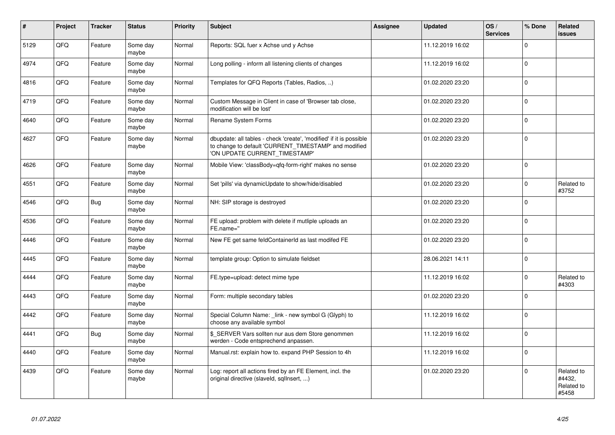| $\vert$ # | Project | <b>Tracker</b> | <b>Status</b>     | <b>Priority</b> | <b>Subject</b>                                                                                                                                                | Assignee | <b>Updated</b>   | OS/<br><b>Services</b> | % Done       | Related<br><b>issues</b>                    |
|-----------|---------|----------------|-------------------|-----------------|---------------------------------------------------------------------------------------------------------------------------------------------------------------|----------|------------------|------------------------|--------------|---------------------------------------------|
| 5129      | QFQ     | Feature        | Some day<br>maybe | Normal          | Reports: SQL fuer x Achse und y Achse                                                                                                                         |          | 11.12.2019 16:02 |                        | $\mathbf{0}$ |                                             |
| 4974      | QFQ     | Feature        | Some day<br>maybe | Normal          | Long polling - inform all listening clients of changes                                                                                                        |          | 11.12.2019 16:02 |                        | $\mathbf{0}$ |                                             |
| 4816      | QFQ     | Feature        | Some day<br>maybe | Normal          | Templates for QFQ Reports (Tables, Radios, )                                                                                                                  |          | 01.02.2020 23:20 |                        | $\mathbf{0}$ |                                             |
| 4719      | QFQ     | Feature        | Some day<br>maybe | Normal          | Custom Message in Client in case of 'Browser tab close,<br>modification will be lost'                                                                         |          | 01.02.2020 23:20 |                        | $\mathbf 0$  |                                             |
| 4640      | QFQ     | Feature        | Some day<br>maybe | Normal          | Rename System Forms                                                                                                                                           |          | 01.02.2020 23:20 |                        | $\mathbf{0}$ |                                             |
| 4627      | QFQ     | Feature        | Some day<br>maybe | Normal          | dbupdate: all tables - check 'create', 'modified' if it is possible<br>to change to default 'CURRENT_TIMESTAMP' and modified<br>'ON UPDATE CURRENT TIMESTAMP' |          | 01.02.2020 23:20 |                        | $\mathbf 0$  |                                             |
| 4626      | QFQ     | Feature        | Some day<br>maybe | Normal          | Mobile View: 'classBody=qfq-form-right' makes no sense                                                                                                        |          | 01.02.2020 23:20 |                        | $\Omega$     |                                             |
| 4551      | QFQ     | Feature        | Some day<br>maybe | Normal          | Set 'pills' via dynamicUpdate to show/hide/disabled                                                                                                           |          | 01.02.2020 23:20 |                        | $\mathbf{0}$ | Related to<br>#3752                         |
| 4546      | QFQ     | <b>Bug</b>     | Some day<br>maybe | Normal          | NH: SIP storage is destroyed                                                                                                                                  |          | 01.02.2020 23:20 |                        | $\Omega$     |                                             |
| 4536      | QFQ     | Feature        | Some day<br>maybe | Normal          | FE upload: problem with delete if mutliple uploads an<br>FE.name="                                                                                            |          | 01.02.2020 23:20 |                        | $\mathbf{0}$ |                                             |
| 4446      | QFQ     | Feature        | Some day<br>maybe | Normal          | New FE get same feldContainerId as last modifed FE                                                                                                            |          | 01.02.2020 23:20 |                        | $\mathbf 0$  |                                             |
| 4445      | QFQ     | Feature        | Some day<br>maybe | Normal          | template group: Option to simulate fieldset                                                                                                                   |          | 28.06.2021 14:11 |                        | $\Omega$     |                                             |
| 4444      | QFQ     | Feature        | Some day<br>maybe | Normal          | FE.type=upload: detect mime type                                                                                                                              |          | 11.12.2019 16:02 |                        | $\Omega$     | Related to<br>#4303                         |
| 4443      | QFQ     | Feature        | Some day<br>maybe | Normal          | Form: multiple secondary tables                                                                                                                               |          | 01.02.2020 23:20 |                        | $\Omega$     |                                             |
| 4442      | QFQ     | Feature        | Some day<br>maybe | Normal          | Special Column Name: _link - new symbol G (Glyph) to<br>choose any available symbol                                                                           |          | 11.12.2019 16:02 |                        | $\Omega$     |                                             |
| 4441      | QFQ     | <b>Bug</b>     | Some day<br>maybe | Normal          | \$ SERVER Vars sollten nur aus dem Store genommen<br>werden - Code entsprechend anpassen.                                                                     |          | 11.12.2019 16:02 |                        | $\Omega$     |                                             |
| 4440      | QFQ     | Feature        | Some day<br>maybe | Normal          | Manual.rst: explain how to. expand PHP Session to 4h                                                                                                          |          | 11.12.2019 16:02 |                        | $\Omega$     |                                             |
| 4439      | QFQ     | Feature        | Some day<br>maybe | Normal          | Log: report all actions fired by an FE Element, incl. the<br>original directive (slaveld, sqlInsert, )                                                        |          | 01.02.2020 23:20 |                        | $\Omega$     | Related to<br>#4432,<br>Related to<br>#5458 |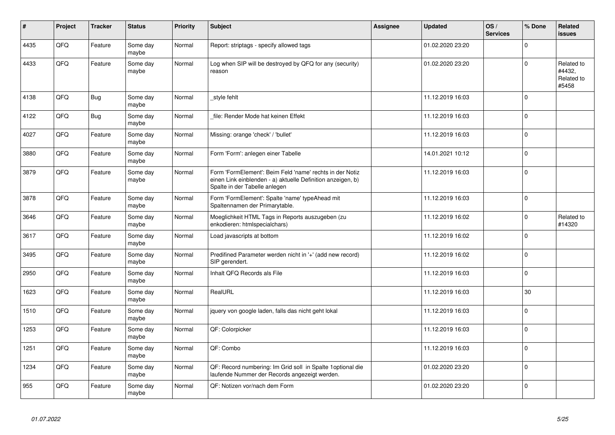| #    | Project | <b>Tracker</b> | <b>Status</b>     | <b>Priority</b> | <b>Subject</b>                                                                                                                                           | Assignee | <b>Updated</b>   | OS/<br><b>Services</b> | % Done       | Related<br>issues                           |
|------|---------|----------------|-------------------|-----------------|----------------------------------------------------------------------------------------------------------------------------------------------------------|----------|------------------|------------------------|--------------|---------------------------------------------|
| 4435 | QFQ     | Feature        | Some day<br>maybe | Normal          | Report: striptags - specify allowed tags                                                                                                                 |          | 01.02.2020 23:20 |                        | $\mathbf{0}$ |                                             |
| 4433 | QFQ     | Feature        | Some day<br>maybe | Normal          | Log when SIP will be destroyed by QFQ for any (security)<br>reason                                                                                       |          | 01.02.2020 23:20 |                        | $\mathbf 0$  | Related to<br>#4432,<br>Related to<br>#5458 |
| 4138 | QFQ     | Bug            | Some day<br>maybe | Normal          | style fehlt                                                                                                                                              |          | 11.12.2019 16:03 |                        | $\Omega$     |                                             |
| 4122 | QFQ     | Bug            | Some day<br>maybe | Normal          | file: Render Mode hat keinen Effekt                                                                                                                      |          | 11.12.2019 16:03 |                        | $\mathbf 0$  |                                             |
| 4027 | QFQ     | Feature        | Some day<br>maybe | Normal          | Missing: orange 'check' / 'bullet'                                                                                                                       |          | 11.12.2019 16:03 |                        | $\mathbf 0$  |                                             |
| 3880 | QFQ     | Feature        | Some day<br>maybe | Normal          | Form 'Form': anlegen einer Tabelle                                                                                                                       |          | 14.01.2021 10:12 |                        | $\mathbf 0$  |                                             |
| 3879 | QFQ     | Feature        | Some day<br>maybe | Normal          | Form 'FormElement': Beim Feld 'name' rechts in der Notiz<br>einen Link einblenden - a) aktuelle Definition anzeigen, b)<br>Spalte in der Tabelle anlegen |          | 11.12.2019 16:03 |                        | $\Omega$     |                                             |
| 3878 | QFQ     | Feature        | Some day<br>maybe | Normal          | Form 'FormElement': Spalte 'name' typeAhead mit<br>Spaltennamen der Primarytable.                                                                        |          | 11.12.2019 16:03 |                        | $\Omega$     |                                             |
| 3646 | QFQ     | Feature        | Some day<br>maybe | Normal          | Moeglichkeit HTML Tags in Reports auszugeben (zu<br>enkodieren: htmlspecialchars)                                                                        |          | 11.12.2019 16:02 |                        | $\Omega$     | Related to<br>#14320                        |
| 3617 | QFQ     | Feature        | Some day<br>maybe | Normal          | Load javascripts at bottom                                                                                                                               |          | 11.12.2019 16:02 |                        | $\mathbf 0$  |                                             |
| 3495 | QFQ     | Feature        | Some day<br>maybe | Normal          | Predifined Parameter werden nicht in '+' (add new record)<br>SIP gerendert.                                                                              |          | 11.12.2019 16:02 |                        | $\Omega$     |                                             |
| 2950 | QFQ     | Feature        | Some day<br>maybe | Normal          | Inhalt QFQ Records als File                                                                                                                              |          | 11.12.2019 16:03 |                        | $\Omega$     |                                             |
| 1623 | QFQ     | Feature        | Some day<br>maybe | Normal          | RealURL                                                                                                                                                  |          | 11.12.2019 16:03 |                        | 30           |                                             |
| 1510 | QFQ     | Feature        | Some day<br>maybe | Normal          | jquery von google laden, falls das nicht geht lokal                                                                                                      |          | 11.12.2019 16:03 |                        | $\mathbf{0}$ |                                             |
| 1253 | QFQ     | Feature        | Some day<br>maybe | Normal          | QF: Colorpicker                                                                                                                                          |          | 11.12.2019 16:03 |                        | $\mathbf 0$  |                                             |
| 1251 | QFQ     | Feature        | Some day<br>maybe | Normal          | QF: Combo                                                                                                                                                |          | 11.12.2019 16:03 |                        | $\mathbf 0$  |                                             |
| 1234 | QFQ     | Feature        | Some day<br>maybe | Normal          | QF: Record numbering: Im Grid soll in Spalte 1 optional die<br>laufende Nummer der Records angezeigt werden.                                             |          | 01.02.2020 23:20 |                        | $\mathbf 0$  |                                             |
| 955  | QFQ     | Feature        | Some day<br>maybe | Normal          | QF: Notizen vor/nach dem Form                                                                                                                            |          | 01.02.2020 23:20 |                        | $\mathbf 0$  |                                             |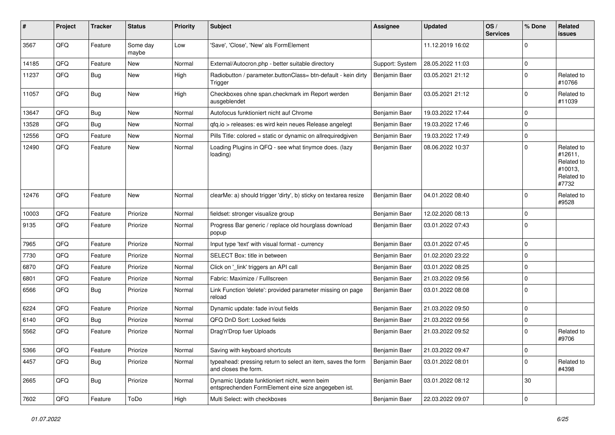| #     | Project | <b>Tracker</b> | <b>Status</b>     | <b>Priority</b> | <b>Subject</b>                                                                                      | <b>Assignee</b> | <b>Updated</b>   | OS/<br><b>Services</b> | % Done      | Related<br>issues                                                     |
|-------|---------|----------------|-------------------|-----------------|-----------------------------------------------------------------------------------------------------|-----------------|------------------|------------------------|-------------|-----------------------------------------------------------------------|
| 3567  | QFQ     | Feature        | Some day<br>maybe | Low             | 'Save', 'Close', 'New' als FormElement                                                              |                 | 11.12.2019 16:02 |                        | 0           |                                                                       |
| 14185 | QFQ     | Feature        | New               | Normal          | External/Autocron.php - better suitable directory                                                   | Support: System | 28.05.2022 11:03 |                        | 0           |                                                                       |
| 11237 | QFQ     | Bug            | <b>New</b>        | High            | Radiobutton / parameter.buttonClass= btn-default - kein dirty<br>Trigger                            | Benjamin Baer   | 03.05.2021 21:12 |                        | 0           | Related to<br>#10766                                                  |
| 11057 | QFQ     | <b>Bug</b>     | <b>New</b>        | High            | Checkboxes ohne span.checkmark im Report werden<br>ausgeblendet                                     | Benjamin Baer   | 03.05.2021 21:12 |                        | $\Omega$    | Related to<br>#11039                                                  |
| 13647 | QFQ     | Bug            | <b>New</b>        | Normal          | Autofocus funktioniert nicht auf Chrome                                                             | Benjamin Baer   | 19.03.2022 17:44 |                        | 0           |                                                                       |
| 13528 | QFQ     | Bug            | <b>New</b>        | Normal          | gfg.io > releases: es wird kein neues Release angelegt                                              | Benjamin Baer   | 19.03.2022 17:46 |                        | 0           |                                                                       |
| 12556 | QFQ     | Feature        | New               | Normal          | Pills Title: colored = static or dynamic on allrequiredgiven                                        | Benjamin Baer   | 19.03.2022 17:49 |                        | 0           |                                                                       |
| 12490 | QFQ     | Feature        | New               | Normal          | Loading Plugins in QFQ - see what tinymce does. (lazy<br>loading)                                   | Benjamin Baer   | 08.06.2022 10:37 |                        | $\Omega$    | Related to<br>#12611,<br>Related to<br>#10013,<br>Related to<br>#7732 |
| 12476 | QFQ     | Feature        | New               | Normal          | clearMe: a) should trigger 'dirty', b) sticky on textarea resize                                    | Benjamin Baer   | 04.01.2022 08:40 |                        | 0           | Related to<br>#9528                                                   |
| 10003 | QFQ     | Feature        | Priorize          | Normal          | fieldset: stronger visualize group                                                                  | Benjamin Baer   | 12.02.2020 08:13 |                        | 0           |                                                                       |
| 9135  | QFQ     | Feature        | Priorize          | Normal          | Progress Bar generic / replace old hourglass download<br>popup                                      | Benjamin Baer   | 03.01.2022 07:43 |                        | $\Omega$    |                                                                       |
| 7965  | QFQ     | Feature        | Priorize          | Normal          | Input type 'text' with visual format - currency                                                     | Benjamin Baer   | 03.01.2022 07:45 |                        | $\mathbf 0$ |                                                                       |
| 7730  | QFQ     | Feature        | Priorize          | Normal          | SELECT Box: title in between                                                                        | Benjamin Baer   | 01.02.2020 23:22 |                        | $\mathbf 0$ |                                                                       |
| 6870  | QFQ     | Feature        | Priorize          | Normal          | Click on '_link' triggers an API call                                                               | Benjamin Baer   | 03.01.2022 08:25 |                        | 0           |                                                                       |
| 6801  | QFQ     | Feature        | Priorize          | Normal          | Fabric: Maximize / FullIscreen                                                                      | Benjamin Baer   | 21.03.2022 09:56 |                        | $\Omega$    |                                                                       |
| 6566  | QFQ     | Bug            | Priorize          | Normal          | Link Function 'delete': provided parameter missing on page<br>reload                                | Benjamin Baer   | 03.01.2022 08:08 |                        | $\mathbf 0$ |                                                                       |
| 6224  | QFQ     | Feature        | Priorize          | Normal          | Dynamic update: fade in/out fields                                                                  | Benjamin Baer   | 21.03.2022 09:50 |                        | 0           |                                                                       |
| 6140  | QFQ     | Bug            | Priorize          | Normal          | QFQ DnD Sort: Locked fields                                                                         | Benjamin Baer   | 21.03.2022 09:56 |                        | 0           |                                                                       |
| 5562  | QFQ     | Feature        | Priorize          | Normal          | Drag'n'Drop fuer Uploads                                                                            | Benjamin Baer   | 21.03.2022 09:52 |                        | $\mathbf 0$ | Related to<br>#9706                                                   |
| 5366  | QFQ     | Feature        | Priorize          | Normal          | Saving with keyboard shortcuts                                                                      | Benjamin Baer   | 21.03.2022 09:47 |                        | 0           |                                                                       |
| 4457  | QFQ     | Bug            | Priorize          | Normal          | typeahead: pressing return to select an item, saves the form<br>and closes the form.                | Benjamin Baer   | 03.01.2022 08:01 |                        | $\mathbf 0$ | Related to<br>#4398                                                   |
| 2665  | QFQ     | Bug            | Priorize          | Normal          | Dynamic Update funktioniert nicht, wenn beim<br>entsprechenden FormElement eine size angegeben ist. | Benjamin Baer   | 03.01.2022 08:12 |                        | 30          |                                                                       |
| 7602  | QFG     | Feature        | ToDo              | High            | Multi Select: with checkboxes                                                                       | Benjamin Baer   | 22.03.2022 09:07 |                        | $\mathbf 0$ |                                                                       |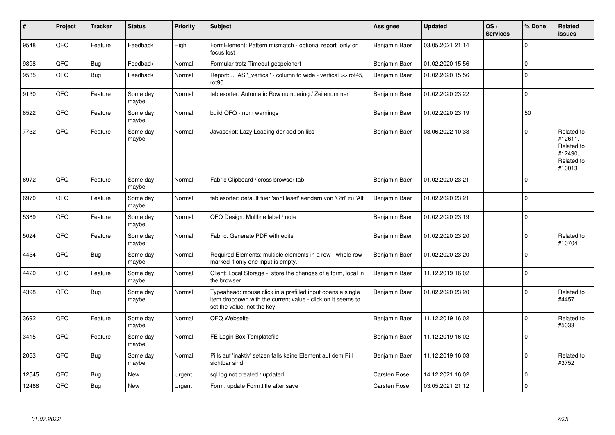| #     | Project | <b>Tracker</b> | <b>Status</b>     | <b>Priority</b> | <b>Subject</b>                                                                                                                                           | Assignee            | <b>Updated</b>   | OS/<br><b>Services</b> | % Done      | Related<br>issues                                                      |
|-------|---------|----------------|-------------------|-----------------|----------------------------------------------------------------------------------------------------------------------------------------------------------|---------------------|------------------|------------------------|-------------|------------------------------------------------------------------------|
| 9548  | QFQ     | Feature        | Feedback          | High            | FormElement: Pattern mismatch - optional report only on<br>focus lost                                                                                    | Benjamin Baer       | 03.05.2021 21:14 |                        | $\Omega$    |                                                                        |
| 9898  | QFQ     | <b>Bug</b>     | Feedback          | Normal          | Formular trotz Timeout gespeichert                                                                                                                       | Benjamin Baer       | 01.02.2020 15:56 |                        | $\Omega$    |                                                                        |
| 9535  | QFQ     | <b>Bug</b>     | Feedback          | Normal          | Report:  AS '_vertical' - column to wide - vertical >> rot45,<br>rot <sub>90</sub>                                                                       | Benjamin Baer       | 01.02.2020 15:56 |                        | $\Omega$    |                                                                        |
| 9130  | QFQ     | Feature        | Some day<br>maybe | Normal          | tablesorter: Automatic Row numbering / Zeilenummer                                                                                                       | Benjamin Baer       | 01.02.2020 23:22 |                        | $\Omega$    |                                                                        |
| 8522  | QFQ     | Feature        | Some day<br>maybe | Normal          | build QFQ - npm warnings                                                                                                                                 | Benjamin Baer       | 01.02.2020 23:19 |                        | 50          |                                                                        |
| 7732  | QFQ     | Feature        | Some day<br>maybe | Normal          | Javascript: Lazy Loading der add on libs                                                                                                                 | Benjamin Baer       | 08.06.2022 10:38 |                        | 0           | Related to<br>#12611,<br>Related to<br>#12490.<br>Related to<br>#10013 |
| 6972  | QFQ     | Feature        | Some day<br>maybe | Normal          | Fabric Clipboard / cross browser tab                                                                                                                     | Benjamin Baer       | 01.02.2020 23:21 |                        | 0           |                                                                        |
| 6970  | QFQ     | Feature        | Some day<br>maybe | Normal          | tablesorter: default fuer 'sortReset' aendern von 'Ctrl' zu 'Alt'                                                                                        | Benjamin Baer       | 01.02.2020 23:21 |                        | $\Omega$    |                                                                        |
| 5389  | QFQ     | Feature        | Some day<br>maybe | Normal          | QFQ Design: Multline label / note                                                                                                                        | Benjamin Baer       | 01.02.2020 23:19 |                        | $\Omega$    |                                                                        |
| 5024  | QFQ     | Feature        | Some day<br>maybe | Normal          | Fabric: Generate PDF with edits                                                                                                                          | Benjamin Baer       | 01.02.2020 23:20 |                        | $\Omega$    | Related to<br>#10704                                                   |
| 4454  | QFQ     | <b>Bug</b>     | Some day<br>maybe | Normal          | Required Elements: multiple elements in a row - whole row<br>marked if only one input is empty.                                                          | Benjamin Baer       | 01.02.2020 23:20 |                        | $\Omega$    |                                                                        |
| 4420  | QFQ     | Feature        | Some day<br>maybe | Normal          | Client: Local Storage - store the changes of a form, local in<br>the browser.                                                                            | Benjamin Baer       | 11.12.2019 16:02 |                        | $\Omega$    |                                                                        |
| 4398  | QFQ     | <b>Bug</b>     | Some day<br>maybe | Normal          | Typeahead: mouse click in a prefilled input opens a single<br>item dropdown with the current value - click on it seems to<br>set the value, not the key. | Benjamin Baer       | 01.02.2020 23:20 |                        | $\Omega$    | Related to<br>#4457                                                    |
| 3692  | QFQ     | Feature        | Some day<br>maybe | Normal          | QFQ Webseite                                                                                                                                             | Benjamin Baer       | 11.12.2019 16:02 |                        | $\Omega$    | Related to<br>#5033                                                    |
| 3415  | QFQ     | Feature        | Some day<br>maybe | Normal          | FE Login Box Templatefile                                                                                                                                | Benjamin Baer       | 11.12.2019 16:02 |                        | 0           |                                                                        |
| 2063  | QFQ     | Bug            | Some day<br>maybe | Normal          | Pills auf 'inaktiv' setzen falls keine Element auf dem Pill<br>sichtbar sind.                                                                            | Benjamin Baer       | 11.12.2019 16:03 |                        | $\mathbf 0$ | Related to<br>#3752                                                    |
| 12545 | QFQ     | Bug            | New               | Urgent          | sgl.log not created / updated                                                                                                                            | <b>Carsten Rose</b> | 14.12.2021 16:02 |                        | $\mathbf 0$ |                                                                        |
| 12468 | QFQ     | Bug            | New               | Urgent          | Form: update Form.title after save                                                                                                                       | Carsten Rose        | 03.05.2021 21:12 |                        | $\mathbf 0$ |                                                                        |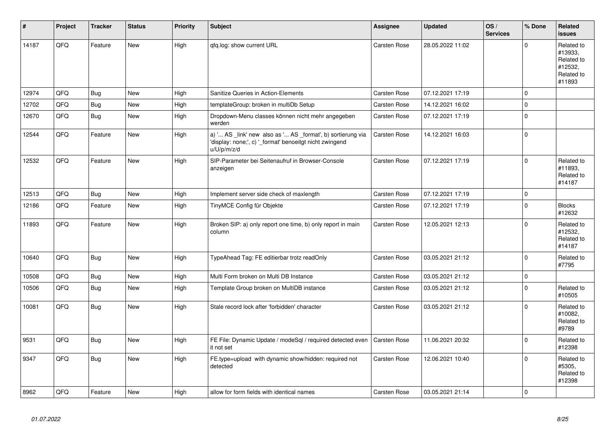| #     | Project | <b>Tracker</b> | <b>Status</b> | <b>Priority</b> | <b>Subject</b>                                                                                                                        | <b>Assignee</b>     | <b>Updated</b>   | OS/<br><b>Services</b> | % Done       | Related<br><b>issues</b>                                               |
|-------|---------|----------------|---------------|-----------------|---------------------------------------------------------------------------------------------------------------------------------------|---------------------|------------------|------------------------|--------------|------------------------------------------------------------------------|
| 14187 | QFQ     | Feature        | New           | High            | qfq.log: show current URL                                                                                                             | Carsten Rose        | 28.05.2022 11:02 |                        | $\Omega$     | Related to<br>#13933.<br>Related to<br>#12532,<br>Related to<br>#11893 |
| 12974 | QFQ     | Bug            | <b>New</b>    | High            | Sanitize Queries in Action-Elements                                                                                                   | Carsten Rose        | 07.12.2021 17:19 |                        | $\mathbf 0$  |                                                                        |
| 12702 | QFQ     | Bug            | <b>New</b>    | High            | templateGroup: broken in multiDb Setup                                                                                                | <b>Carsten Rose</b> | 14.12.2021 16:02 |                        | $\Omega$     |                                                                        |
| 12670 | QFQ     | <b>Bug</b>     | New           | High            | Dropdown-Menu classes können nicht mehr angegeben<br>werden                                                                           | <b>Carsten Rose</b> | 07.12.2021 17:19 |                        | $\mathbf 0$  |                                                                        |
| 12544 | QFQ     | Feature        | New           | High            | a) ' AS _link' new also as ' AS _format', b) sortierung via<br>'display: none;', c) '_format' benoeitgt nicht zwingend<br>u/U/p/m/z/d | Carsten Rose        | 14.12.2021 16:03 |                        | $\mathbf 0$  |                                                                        |
| 12532 | QFQ     | Feature        | <b>New</b>    | High            | SIP-Parameter bei Seitenaufruf in Browser-Console<br>anzeigen                                                                         | <b>Carsten Rose</b> | 07.12.2021 17:19 |                        | $\Omega$     | Related to<br>#11893,<br>Related to<br>#14187                          |
| 12513 | QFQ     | Bug            | <b>New</b>    | High            | Implement server side check of maxlength                                                                                              | <b>Carsten Rose</b> | 07.12.2021 17:19 |                        | $\mathbf 0$  |                                                                        |
| 12186 | QFQ     | Feature        | <b>New</b>    | High            | TinyMCE Config für Objekte                                                                                                            | <b>Carsten Rose</b> | 07.12.2021 17:19 |                        | $\mathbf 0$  | <b>Blocks</b><br>#12632                                                |
| 11893 | QFQ     | Feature        | <b>New</b>    | High            | Broken SIP: a) only report one time, b) only report in main<br>column                                                                 | <b>Carsten Rose</b> | 12.05.2021 12:13 |                        | $\Omega$     | Related to<br>#12532,<br>Related to<br>#14187                          |
| 10640 | QFQ     | Bug            | New           | High            | TypeAhead Tag: FE editierbar trotz readOnly                                                                                           | Carsten Rose        | 03.05.2021 21:12 |                        | $\Omega$     | Related to<br>#7795                                                    |
| 10508 | QFQ     | <b>Bug</b>     | <b>New</b>    | High            | Multi Form broken on Multi DB Instance                                                                                                | <b>Carsten Rose</b> | 03.05.2021 21:12 |                        | $\Omega$     |                                                                        |
| 10506 | QFQ     | Bug            | <b>New</b>    | High            | Template Group broken on MultiDB instance                                                                                             | <b>Carsten Rose</b> | 03.05.2021 21:12 |                        | $\mathbf{0}$ | Related to<br>#10505                                                   |
| 10081 | QFQ     | Bug            | <b>New</b>    | High            | Stale record lock after 'forbidden' character                                                                                         | <b>Carsten Rose</b> | 03.05.2021 21:12 |                        | $\Omega$     | Related to<br>#10082,<br>Related to<br>#9789                           |
| 9531  | QFQ     | Bug            | New           | High            | FE File: Dynamic Update / modeSgl / required detected even<br>it not set                                                              | <b>Carsten Rose</b> | 11.06.2021 20:32 |                        | $\Omega$     | Related to<br>#12398                                                   |
| 9347  | QFQ     | Bug            | <b>New</b>    | High            | FE.type=upload with dynamic show/hidden: required not<br>detected                                                                     | Carsten Rose        | 12.06.2021 10:40 |                        | $\Omega$     | Related to<br>#5305.<br>Related to<br>#12398                           |
| 8962  | QFQ     | Feature        | New           | High            | allow for form fields with identical names                                                                                            | <b>Carsten Rose</b> | 03.05.2021 21:14 |                        | $\Omega$     |                                                                        |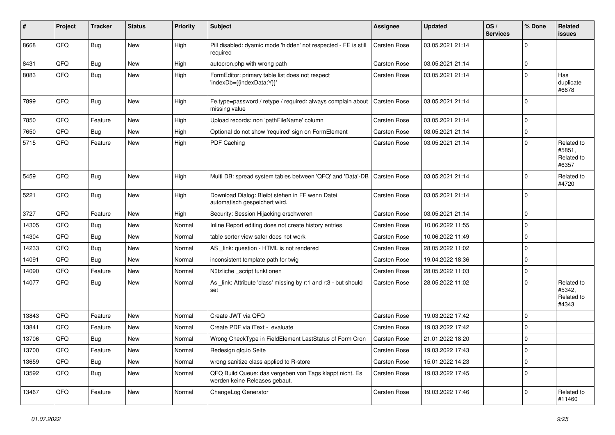| #     | Project | <b>Tracker</b> | <b>Status</b> | <b>Priority</b> | <b>Subject</b>                                                                           | Assignee            | <b>Updated</b>   | OS/<br><b>Services</b> | % Done      | <b>Related</b><br><b>issues</b>             |
|-------|---------|----------------|---------------|-----------------|------------------------------------------------------------------------------------------|---------------------|------------------|------------------------|-------------|---------------------------------------------|
| 8668  | QFQ     | <b>Bug</b>     | <b>New</b>    | High            | Pill disabled: dyamic mode 'hidden' not respected - FE is still<br>required              | <b>Carsten Rose</b> | 03.05.2021 21:14 |                        | $\Omega$    |                                             |
| 8431  | QFQ     | <b>Bug</b>     | New           | High            | autocron.php with wrong path                                                             | <b>Carsten Rose</b> | 03.05.2021 21:14 |                        | $\Omega$    |                                             |
| 8083  | QFQ     | <b>Bug</b>     | New           | High            | FormEditor: primary table list does not respect<br>'indexDb={{indexData:Y}}'             | Carsten Rose        | 03.05.2021 21:14 |                        | $\Omega$    | Has<br>duplicate<br>#6678                   |
| 7899  | QFQ     | Bug            | <b>New</b>    | High            | Fe.type=password / retype / required: always complain about<br>missing value             | <b>Carsten Rose</b> | 03.05.2021 21:14 |                        | $\Omega$    |                                             |
| 7850  | QFQ     | Feature        | New           | High            | Upload records: non 'pathFileName' column                                                | Carsten Rose        | 03.05.2021 21:14 |                        | $\mathbf 0$ |                                             |
| 7650  | QFQ     | <b>Bug</b>     | New           | High            | Optional do not show 'required' sign on FormElement                                      | <b>Carsten Rose</b> | 03.05.2021 21:14 |                        | $\mathbf 0$ |                                             |
| 5715  | QFQ     | Feature        | New           | High            | PDF Caching                                                                              | <b>Carsten Rose</b> | 03.05.2021 21:14 |                        | $\Omega$    | Related to<br>#5851,<br>Related to<br>#6357 |
| 5459  | QFQ     | Bug            | <b>New</b>    | High            | Multi DB: spread system tables between 'QFQ' and 'Data'-DB                               | <b>Carsten Rose</b> | 03.05.2021 21:14 |                        | 0           | Related to<br>#4720                         |
| 5221  | QFQ     | <b>Bug</b>     | New           | High            | Download Dialog: Bleibt stehen in FF wenn Datei<br>automatisch gespeichert wird.         | Carsten Rose        | 03.05.2021 21:14 |                        | $\Omega$    |                                             |
| 3727  | QFQ     | Feature        | <b>New</b>    | High            | Security: Session Hijacking erschweren                                                   | <b>Carsten Rose</b> | 03.05.2021 21:14 |                        | $\Omega$    |                                             |
| 14305 | QFQ     | <b>Bug</b>     | <b>New</b>    | Normal          | Inline Report editing does not create history entries                                    | Carsten Rose        | 10.06.2022 11:55 |                        | $\Omega$    |                                             |
| 14304 | QFQ     | <b>Bug</b>     | <b>New</b>    | Normal          | table sorter view safer does not work                                                    | Carsten Rose        | 10.06.2022 11:49 |                        | $\Omega$    |                                             |
| 14233 | QFQ     | <b>Bug</b>     | <b>New</b>    | Normal          | AS _link: question - HTML is not rendered                                                | Carsten Rose        | 28.05.2022 11:02 |                        | $\Omega$    |                                             |
| 14091 | QFQ     | <b>Bug</b>     | <b>New</b>    | Normal          | inconsistent template path for twig                                                      | <b>Carsten Rose</b> | 19.04.2022 18:36 |                        | $\Omega$    |                                             |
| 14090 | QFQ     | Feature        | New           | Normal          | Nützliche _script funktionen                                                             | <b>Carsten Rose</b> | 28.05.2022 11:03 |                        | $\Omega$    |                                             |
| 14077 | QFQ     | Bug            | <b>New</b>    | Normal          | As link: Attribute 'class' missing by r:1 and r:3 - but should<br>set                    | <b>Carsten Rose</b> | 28.05.2022 11:02 |                        | $\Omega$    | Related to<br>#5342,<br>Related to<br>#4343 |
| 13843 | QFQ     | Feature        | <b>New</b>    | Normal          | Create JWT via QFQ                                                                       | <b>Carsten Rose</b> | 19.03.2022 17:42 |                        | $\Omega$    |                                             |
| 13841 | QFQ     | Feature        | New           | Normal          | Create PDF via iText - evaluate                                                          | Carsten Rose        | 19.03.2022 17:42 |                        | $\Omega$    |                                             |
| 13706 | QFQ     | <b>Bug</b>     | <b>New</b>    | Normal          | Wrong CheckType in FieldElement LastStatus of Form Cron                                  | <b>Carsten Rose</b> | 21.01.2022 18:20 |                        | $\Omega$    |                                             |
| 13700 | QFQ     | Feature        | <b>New</b>    | Normal          | Redesign qfq.io Seite                                                                    | <b>Carsten Rose</b> | 19.03.2022 17:43 |                        | $\Omega$    |                                             |
| 13659 | QFQ     | <b>Bug</b>     | <b>New</b>    | Normal          | wrong sanitize class applied to R-store                                                  | Carsten Rose        | 15.01.2022 14:23 |                        | $\Omega$    |                                             |
| 13592 | QFQ     | <b>Bug</b>     | New           | Normal          | QFQ Build Queue: das vergeben von Tags klappt nicht. Es<br>werden keine Releases gebaut. | <b>Carsten Rose</b> | 19.03.2022 17:45 |                        | $\Omega$    |                                             |
| 13467 | QFQ     | Feature        | New           | Normal          | ChangeLog Generator                                                                      | Carsten Rose        | 19.03.2022 17:46 |                        | $\Omega$    | Related to<br>#11460                        |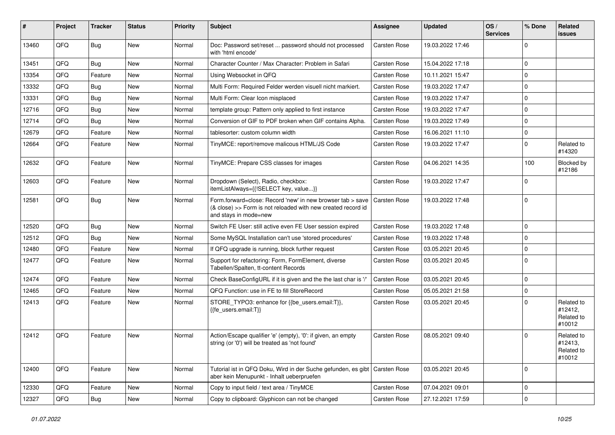| #     | Project | <b>Tracker</b> | <b>Status</b> | <b>Priority</b> | <b>Subject</b>                                                                                                                                      | Assignee            | <b>Updated</b>   | OS/<br><b>Services</b> | % Done      | Related<br><b>issues</b>                      |
|-------|---------|----------------|---------------|-----------------|-----------------------------------------------------------------------------------------------------------------------------------------------------|---------------------|------------------|------------------------|-------------|-----------------------------------------------|
| 13460 | QFQ     | <b>Bug</b>     | <b>New</b>    | Normal          | Doc: Password set/reset  password should not processed<br>with 'html encode'                                                                        | Carsten Rose        | 19.03.2022 17:46 |                        | 0           |                                               |
| 13451 | QFQ     | Bug            | New           | Normal          | Character Counter / Max Character: Problem in Safari                                                                                                | Carsten Rose        | 15.04.2022 17:18 |                        | $\mathbf 0$ |                                               |
| 13354 | QFQ     | Feature        | <b>New</b>    | Normal          | Using Websocket in QFQ                                                                                                                              | Carsten Rose        | 10.11.2021 15:47 |                        | $\mathbf 0$ |                                               |
| 13332 | QFQ     | <b>Bug</b>     | <b>New</b>    | Normal          | Multi Form: Required Felder werden visuell nicht markiert.                                                                                          | <b>Carsten Rose</b> | 19.03.2022 17:47 |                        | $\mathbf 0$ |                                               |
| 13331 | QFQ     | <b>Bug</b>     | <b>New</b>    | Normal          | Multi Form: Clear Icon misplaced                                                                                                                    | Carsten Rose        | 19.03.2022 17:47 |                        | $\mathbf 0$ |                                               |
| 12716 | QFQ     | Bug            | <b>New</b>    | Normal          | template group: Pattern only applied to first instance                                                                                              | Carsten Rose        | 19.03.2022 17:47 |                        | $\mathbf 0$ |                                               |
| 12714 | QFQ     | <b>Bug</b>     | <b>New</b>    | Normal          | Conversion of GIF to PDF broken when GIF contains Alpha.                                                                                            | Carsten Rose        | 19.03.2022 17:49 |                        | $\mathbf 0$ |                                               |
| 12679 | QFQ     | Feature        | <b>New</b>    | Normal          | tablesorter: custom column width                                                                                                                    | Carsten Rose        | 16.06.2021 11:10 |                        | $\mathbf 0$ |                                               |
| 12664 | QFQ     | Feature        | <b>New</b>    | Normal          | TinyMCE: report/remove malicous HTML/JS Code                                                                                                        | Carsten Rose        | 19.03.2022 17:47 |                        | $\mathbf 0$ | Related to<br>#14320                          |
| 12632 | QFQ     | Feature        | <b>New</b>    | Normal          | TinyMCE: Prepare CSS classes for images                                                                                                             | Carsten Rose        | 04.06.2021 14:35 |                        | 100         | Blocked by<br>#12186                          |
| 12603 | QFQ     | Feature        | <b>New</b>    | Normal          | Dropdown (Select), Radio, checkbox:<br>itemListAlways={{!SELECT key, value}}                                                                        | <b>Carsten Rose</b> | 19.03.2022 17:47 |                        | $\mathbf 0$ |                                               |
| 12581 | QFQ     | Bug            | <b>New</b>    | Normal          | Form.forward=close: Record 'new' in new browser tab > save<br>(& close) >> Form is not reloaded with new created record id<br>and stays in mode=new | <b>Carsten Rose</b> | 19.03.2022 17:48 |                        | $\mathbf 0$ |                                               |
| 12520 | QFQ     | Bug            | <b>New</b>    | Normal          | Switch FE User: still active even FE User session expired                                                                                           | Carsten Rose        | 19.03.2022 17:48 |                        | $\mathbf 0$ |                                               |
| 12512 | QFQ     | Bug            | <b>New</b>    | Normal          | Some MySQL Installation can't use 'stored procedures'                                                                                               | Carsten Rose        | 19.03.2022 17:48 |                        | $\mathbf 0$ |                                               |
| 12480 | QFQ     | Feature        | <b>New</b>    | Normal          | If QFQ upgrade is running, block further request                                                                                                    | <b>Carsten Rose</b> | 03.05.2021 20:45 |                        | $\mathbf 0$ |                                               |
| 12477 | QFQ     | Feature        | New           | Normal          | Support for refactoring: Form, FormElement, diverse<br>Tabellen/Spalten, tt-content Records                                                         | Carsten Rose        | 03.05.2021 20:45 |                        | $\mathbf 0$ |                                               |
| 12474 | QFQ     | Feature        | <b>New</b>    | Normal          | Check BaseConfigURL if it is given and the the last char is '/'                                                                                     | <b>Carsten Rose</b> | 03.05.2021 20:45 |                        | $\mathbf 0$ |                                               |
| 12465 | QFQ     | Feature        | New           | Normal          | QFQ Function: use in FE to fill StoreRecord                                                                                                         | Carsten Rose        | 05.05.2021 21:58 |                        | $\mathbf 0$ |                                               |
| 12413 | QFQ     | Feature        | New           | Normal          | STORE_TYPO3: enhance for {{be_users.email:T}},<br>{{fe users.email:T}}                                                                              | Carsten Rose        | 03.05.2021 20:45 |                        | $\Omega$    | Related to<br>#12412,<br>Related to<br>#10012 |
| 12412 | QFQ     | Feature        | New           | Normal          | Action/Escape qualifier 'e' (empty), '0': if given, an empty<br>string (or '0') will be treated as 'not found'                                      | Carsten Rose        | 08.05.2021 09:40 |                        | $\mathbf 0$ | Related to<br>#12413,<br>Related to<br>#10012 |
| 12400 | QFQ     | Feature        | New           | Normal          | Tutorial ist in QFQ Doku, Wird in der Suche gefunden, es gibt<br>aber kein Menupunkt - Inhalt ueberpruefen                                          | Carsten Rose        | 03.05.2021 20:45 |                        | $\mathbf 0$ |                                               |
| 12330 | QFQ     | Feature        | New           | Normal          | Copy to input field / text area / TinyMCE                                                                                                           | Carsten Rose        | 07.04.2021 09:01 |                        | $\mathbf 0$ |                                               |
| 12327 | QFQ     | Bug            | New           | Normal          | Copy to clipboard: Glyphicon can not be changed                                                                                                     | Carsten Rose        | 27.12.2021 17:59 |                        | $\mathbf 0$ |                                               |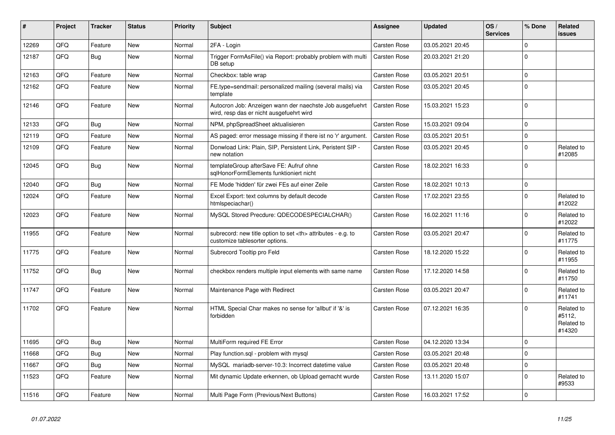| #     | Project | <b>Tracker</b> | <b>Status</b> | <b>Priority</b> | <b>Subject</b>                                                                                       | Assignee                                               | <b>Updated</b>      | OS/<br><b>Services</b> | % Done       | <b>Related</b><br>issues                     |                      |
|-------|---------|----------------|---------------|-----------------|------------------------------------------------------------------------------------------------------|--------------------------------------------------------|---------------------|------------------------|--------------|----------------------------------------------|----------------------|
| 12269 | QFQ     | Feature        | <b>New</b>    | Normal          | 2FA - Login                                                                                          | <b>Carsten Rose</b>                                    | 03.05.2021 20:45    |                        | $\Omega$     |                                              |                      |
| 12187 | QFQ     | <b>Bug</b>     | <b>New</b>    | Normal          | Trigger FormAsFile() via Report: probably problem with multi<br>DB setup                             | Carsten Rose                                           | 20.03.2021 21:20    |                        | 0            |                                              |                      |
| 12163 | QFQ     | Feature        | <b>New</b>    | Normal          | Checkbox: table wrap                                                                                 | Carsten Rose                                           | 03.05.2021 20:51    |                        | $\Omega$     |                                              |                      |
| 12162 | QFQ     | Feature        | <b>New</b>    | Normal          | FE.type=sendmail: personalized mailing (several mails) via<br>template                               | <b>Carsten Rose</b>                                    | 03.05.2021 20:45    |                        | $\Omega$     |                                              |                      |
| 12146 | QFQ     | Feature        | New           | Normal          | Autocron Job: Anzeigen wann der naechste Job ausgefuehrt<br>wird, resp das er nicht ausgefuehrt wird | <b>Carsten Rose</b>                                    | 15.03.2021 15:23    |                        | $\Omega$     |                                              |                      |
| 12133 | QFQ     | <b>Bug</b>     | <b>New</b>    | Normal          | NPM, phpSpreadSheet aktualisieren                                                                    | Carsten Rose                                           | 15.03.2021 09:04    |                        | $\Omega$     |                                              |                      |
| 12119 | QFQ     | Feature        | New           | Normal          | AS paged: error message missing if there ist no 'r' argument.                                        | Carsten Rose                                           | 03.05.2021 20:51    |                        | $\Omega$     |                                              |                      |
| 12109 | QFQ     | Feature        | New           | Normal          | Donwload Link: Plain, SIP, Persistent Link, Peristent SIP -<br>new notation                          | <b>Carsten Rose</b>                                    | 03.05.2021 20:45    |                        | $\Omega$     | Related to<br>#12085                         |                      |
| 12045 | QFQ     | <b>Bug</b>     | <b>New</b>    | Normal          | templateGroup afterSave FE: Aufruf ohne<br>sglHonorFormElements funktioniert nicht                   | Carsten Rose                                           | 18.02.2021 16:33    |                        | $\Omega$     |                                              |                      |
| 12040 | QFQ     | Bug            | <b>New</b>    | Normal          | FE Mode 'hidden' für zwei FEs auf einer Zeile                                                        | <b>Carsten Rose</b>                                    | 18.02.2021 10:13    |                        | $\mathbf 0$  |                                              |                      |
| 12024 | QFQ     | Feature        | New           | Normal          | Excel Export: text columns by default decode<br>htmlspeciachar()                                     | <b>Carsten Rose</b>                                    | 17.02.2021 23:55    |                        | $\Omega$     | Related to<br>#12022                         |                      |
| 12023 | QFQ     | Feature        | New           | Normal          | MySQL Stored Precdure: QDECODESPECIALCHAR()                                                          | <b>Carsten Rose</b>                                    | 16.02.2021 11:16    |                        | 0            | Related to<br>#12022                         |                      |
| 11955 | QFQ     | Feature        | New           | Normal          | subrecord: new title option to set <th> attributes - e.g. to<br/>customize tablesorter options.</th> | attributes - e.g. to<br>customize tablesorter options. | <b>Carsten Rose</b> | 03.05.2021 20:47       |              | $\Omega$                                     | Related to<br>#11775 |
| 11775 | QFQ     | Feature        | <b>New</b>    | Normal          | Subrecord Tooltip pro Feld                                                                           | <b>Carsten Rose</b>                                    | 18.12.2020 15:22    |                        | $\Omega$     | Related to<br>#11955                         |                      |
| 11752 | QFQ     | <b>Bug</b>     | <b>New</b>    | Normal          | checkbox renders multiple input elements with same name                                              | Carsten Rose                                           | 17.12.2020 14:58    |                        | 0            | Related to<br>#11750                         |                      |
| 11747 | QFQ     | Feature        | New           | Normal          | Maintenance Page with Redirect                                                                       | <b>Carsten Rose</b>                                    | 03.05.2021 20:47    |                        | $\Omega$     | Related to<br>#11741                         |                      |
| 11702 | QFQ     | Feature        | New           | Normal          | HTML Special Char makes no sense for 'allbut' if '&' is<br>forbidden                                 | <b>Carsten Rose</b>                                    | 07.12.2021 16:35    |                        | <sup>0</sup> | Related to<br>#5112,<br>Related to<br>#14320 |                      |
| 11695 | QFQ     | Bug            | <b>New</b>    | Normal          | MultiForm required FE Error                                                                          | <b>Carsten Rose</b>                                    | 04.12.2020 13:34    |                        | $\Omega$     |                                              |                      |
| 11668 | QFQ     | Bug            | New           | Normal          | Play function.sql - problem with mysql                                                               | Carsten Rose                                           | 03.05.2021 20:48    |                        | $\Omega$     |                                              |                      |
| 11667 | QFQ     | <b>Bug</b>     | New           | Normal          | MySQL mariadb-server-10.3: Incorrect datetime value                                                  | Carsten Rose                                           | 03.05.2021 20:48    |                        | $\Omega$     |                                              |                      |
| 11523 | QFQ     | Feature        | New           | Normal          | Mit dynamic Update erkennen, ob Upload gemacht wurde                                                 | <b>Carsten Rose</b>                                    | 13.11.2020 15:07    |                        | $\Omega$     | Related to<br>#9533                          |                      |
| 11516 | QFQ     | Feature        | New           | Normal          | Multi Page Form (Previous/Next Buttons)                                                              | <b>Carsten Rose</b>                                    | 16.03.2021 17:52    |                        | $\Omega$     |                                              |                      |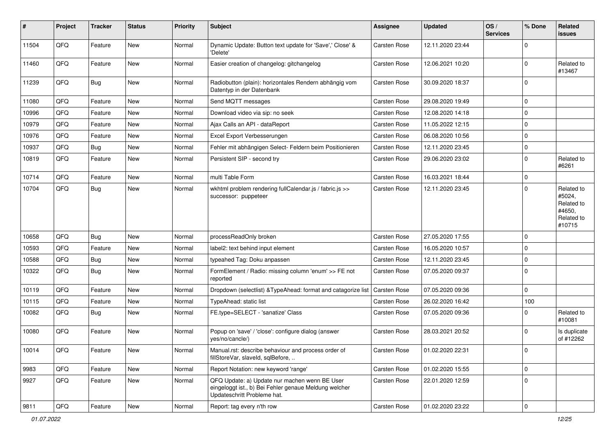| $\vert$ # | Project | <b>Tracker</b> | <b>Status</b> | <b>Priority</b> | <b>Subject</b>                                                                                                                        | <b>Assignee</b>     | <b>Updated</b>   | OS/<br><b>Services</b> | % Done              | Related<br>issues                                                    |
|-----------|---------|----------------|---------------|-----------------|---------------------------------------------------------------------------------------------------------------------------------------|---------------------|------------------|------------------------|---------------------|----------------------------------------------------------------------|
| 11504     | QFQ     | Feature        | <b>New</b>    | Normal          | Dynamic Update: Button text update for 'Save',' Close' &<br>'Delete'                                                                  | <b>Carsten Rose</b> | 12.11.2020 23:44 |                        | $\mathbf 0$         |                                                                      |
| 11460     | QFQ     | Feature        | New           | Normal          | Easier creation of changelog: gitchangelog                                                                                            | Carsten Rose        | 12.06.2021 10:20 |                        | $\mathbf 0$         | Related to<br>#13467                                                 |
| 11239     | QFQ     | Bug            | <b>New</b>    | Normal          | Radiobutton (plain): horizontales Rendern abhängig vom<br>Datentyp in der Datenbank                                                   | <b>Carsten Rose</b> | 30.09.2020 18:37 |                        | 0                   |                                                                      |
| 11080     | QFQ     | Feature        | <b>New</b>    | Normal          | Send MQTT messages                                                                                                                    | <b>Carsten Rose</b> | 29.08.2020 19:49 |                        | 0                   |                                                                      |
| 10996     | QFQ     | Feature        | New           | Normal          | Download video via sip: no seek                                                                                                       | <b>Carsten Rose</b> | 12.08.2020 14:18 |                        | $\mathbf 0$         |                                                                      |
| 10979     | QFQ     | Feature        | New           | Normal          | Ajax Calls an API - dataReport                                                                                                        | Carsten Rose        | 11.05.2022 12:15 |                        | 0                   |                                                                      |
| 10976     | QFQ     | Feature        | New           | Normal          | Excel Export Verbesserungen                                                                                                           | Carsten Rose        | 06.08.2020 10:56 |                        | $\mathbf 0$         |                                                                      |
| 10937     | QFQ     | <b>Bug</b>     | <b>New</b>    | Normal          | Fehler mit abhängigen Select- Feldern beim Positionieren                                                                              | Carsten Rose        | 12.11.2020 23:45 |                        | 0                   |                                                                      |
| 10819     | QFQ     | Feature        | <b>New</b>    | Normal          | Persistent SIP - second try                                                                                                           | <b>Carsten Rose</b> | 29.06.2020 23:02 |                        | $\mathbf 0$         | Related to<br>#6261                                                  |
| 10714     | QFQ     | Feature        | New           | Normal          | multi Table Form                                                                                                                      | <b>Carsten Rose</b> | 16.03.2021 18:44 |                        | 0                   |                                                                      |
| 10704     | QFQ     | <b>Bug</b>     | New           | Normal          | wkhtml problem rendering fullCalendar.js / fabric.js >><br>successor: puppeteer                                                       | <b>Carsten Rose</b> | 12.11.2020 23:45 |                        | $\mathbf{0}$        | Related to<br>#5024,<br>Related to<br>#4650,<br>Related to<br>#10715 |
| 10658     | QFQ     | <b>Bug</b>     | <b>New</b>    | Normal          | processReadOnly broken                                                                                                                | <b>Carsten Rose</b> | 27.05.2020 17:55 |                        | $\mathbf 0$         |                                                                      |
| 10593     | QFQ     | Feature        | New           | Normal          | label2: text behind input element                                                                                                     | <b>Carsten Rose</b> | 16.05.2020 10:57 |                        | 0                   |                                                                      |
| 10588     | QFQ     | Bug            | <b>New</b>    | Normal          | typeahed Tag: Doku anpassen                                                                                                           | <b>Carsten Rose</b> | 12.11.2020 23:45 |                        | 0                   |                                                                      |
| 10322     | QFQ     | <b>Bug</b>     | <b>New</b>    | Normal          | FormElement / Radio: missing column 'enum' >> FE not<br>reported                                                                      | <b>Carsten Rose</b> | 07.05.2020 09:37 |                        | $\mathbf 0$         |                                                                      |
| 10119     | QFQ     | Feature        | <b>New</b>    | Normal          | Dropdown (selectlist) & TypeAhead: format and catagorize list                                                                         | Carsten Rose        | 07.05.2020 09:36 |                        | $\mathbf{0}$        |                                                                      |
| 10115     | QFQ     | Feature        | New           | Normal          | TypeAhead: static list                                                                                                                | <b>Carsten Rose</b> | 26.02.2020 16:42 |                        | 100                 |                                                                      |
| 10082     | QFQ     | <b>Bug</b>     | <b>New</b>    | Normal          | FE.type=SELECT - 'sanatize' Class                                                                                                     | Carsten Rose        | 07.05.2020 09:36 |                        | $\mathbf{0}$        | Related to<br>#10081                                                 |
| 10080     | QFQ     | Feature        | New           | Normal          | Popup on 'save' / 'close': configure dialog (answer<br>yes/no/cancle/)                                                                | <b>Carsten Rose</b> | 28.03.2021 20:52 |                        | 0                   | Is duplicate<br>of #12262                                            |
| 10014     | QFQ     | Feature        | New           | Normal          | Manual.rst: describe behaviour and process order of<br>fillStoreVar, slaveId, sqlBefore,                                              | <b>Carsten Rose</b> | 01.02.2020 22:31 |                        | 0                   |                                                                      |
| 9983      | QFQ     | Feature        | New           | Normal          | Report Notation: new keyword 'range'                                                                                                  | Carsten Rose        | 01.02.2020 15:55 |                        | $\mathbf 0$         |                                                                      |
| 9927      | QFQ     | Feature        | New           | Normal          | QFQ Update: a) Update nur machen wenn BE User<br>eingeloggt ist., b) Bei Fehler genaue Meldung welcher<br>Updateschritt Probleme hat. | Carsten Rose        | 22.01.2020 12:59 |                        | 0                   |                                                                      |
| 9811      | QFG     | Feature        | New           | Normal          | Report: tag every n'th row                                                                                                            | Carsten Rose        | 01.02.2020 23:22 |                        | $\mathsf{O}\xspace$ |                                                                      |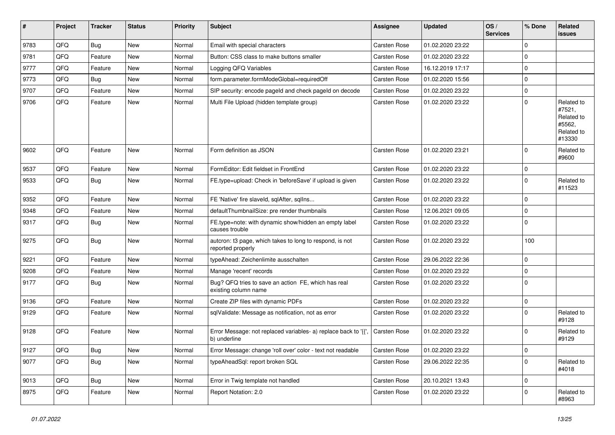| #    | Project | <b>Tracker</b> | <b>Status</b> | <b>Priority</b> | Subject                                                                        | <b>Assignee</b>     | <b>Updated</b>   | OS/<br><b>Services</b> | % Done         | Related<br><b>issues</b>                                             |
|------|---------|----------------|---------------|-----------------|--------------------------------------------------------------------------------|---------------------|------------------|------------------------|----------------|----------------------------------------------------------------------|
| 9783 | QFQ     | <b>Bug</b>     | <b>New</b>    | Normal          | Email with special characters                                                  | Carsten Rose        | 01.02.2020 23:22 |                        | $\Omega$       |                                                                      |
| 9781 | QFQ     | Feature        | New           | Normal          | Button: CSS class to make buttons smaller                                      | <b>Carsten Rose</b> | 01.02.2020 23:22 |                        | $\mathbf 0$    |                                                                      |
| 9777 | QFQ     | Feature        | New           | Normal          | Logging QFQ Variables                                                          | Carsten Rose        | 16.12.2019 17:17 |                        | $\Omega$       |                                                                      |
| 9773 | QFQ     | Bug            | <b>New</b>    | Normal          | form.parameter.formModeGlobal=requiredOff                                      | Carsten Rose        | 01.02.2020 15:56 |                        | $\mathbf 0$    |                                                                      |
| 9707 | QFQ     | Feature        | New           | Normal          | SIP security: encode pageld and check pageld on decode                         | <b>Carsten Rose</b> | 01.02.2020 23:22 |                        | $\mathbf 0$    |                                                                      |
| 9706 | QFQ     | Feature        | New           | Normal          | Multi File Upload (hidden template group)                                      | <b>Carsten Rose</b> | 01.02.2020 23:22 |                        | $\Omega$       | Related to<br>#7521,<br>Related to<br>#5562,<br>Related to<br>#13330 |
| 9602 | QFQ     | Feature        | New           | Normal          | Form definition as JSON                                                        | Carsten Rose        | 01.02.2020 23:21 |                        | $\Omega$       | Related to<br>#9600                                                  |
| 9537 | QFQ     | Feature        | New           | Normal          | FormEditor: Edit fieldset in FrontEnd                                          | Carsten Rose        | 01.02.2020 23:22 |                        | $\mathbf 0$    |                                                                      |
| 9533 | QFQ     | Bug            | <b>New</b>    | Normal          | FE.type=upload: Check in 'beforeSave' if upload is given                       | Carsten Rose        | 01.02.2020 23:22 |                        | $\Omega$       | Related to<br>#11523                                                 |
| 9352 | QFQ     | Feature        | <b>New</b>    | Normal          | FE 'Native' fire slaveld, sqlAfter, sqlIns                                     | Carsten Rose        | 01.02.2020 23:22 |                        | $\mathbf 0$    |                                                                      |
| 9348 | QFQ     | Feature        | New           | Normal          | defaultThumbnailSize: pre render thumbnails                                    | Carsten Rose        | 12.06.2021 09:05 |                        | $\Omega$       |                                                                      |
| 9317 | QFQ     | Bug            | New           | Normal          | FE.type=note: with dynamic show/hidden an empty label<br>causes trouble        | Carsten Rose        | 01.02.2020 23:22 |                        | $\Omega$       |                                                                      |
| 9275 | QFQ     | Bug            | <b>New</b>    | Normal          | autcron: t3 page, which takes to long to respond, is not<br>reported properly  | <b>Carsten Rose</b> | 01.02.2020 23:22 |                        | 100            |                                                                      |
| 9221 | QFQ     | Feature        | <b>New</b>    | Normal          | typeAhead: Zeichenlimite ausschalten                                           | Carsten Rose        | 29.06.2022 22:36 |                        | $\mathbf 0$    |                                                                      |
| 9208 | QFQ     | Feature        | New           | Normal          | Manage 'recent' records                                                        | Carsten Rose        | 01.02.2020 23:22 |                        | $\mathbf 0$    |                                                                      |
| 9177 | QFQ     | Bug            | New           | Normal          | Bug? QFQ tries to save an action FE, which has real<br>existing column name    | Carsten Rose        | 01.02.2020 23:22 |                        | $\mathbf 0$    |                                                                      |
| 9136 | QFQ     | Feature        | <b>New</b>    | Normal          | Create ZIP files with dynamic PDFs                                             | <b>Carsten Rose</b> | 01.02.2020 23:22 |                        | $\Omega$       |                                                                      |
| 9129 | QFQ     | Feature        | New           | Normal          | sqlValidate: Message as notification, not as error                             | Carsten Rose        | 01.02.2020 23:22 |                        | $\Omega$       | Related to<br>#9128                                                  |
| 9128 | QFQ     | Feature        | New           | Normal          | Error Message: not replaced variables- a) replace back to '{',<br>b) underline | Carsten Rose        | 01.02.2020 23:22 |                        | $\Omega$       | Related to<br>#9129                                                  |
| 9127 | QFQ     | <b>Bug</b>     | New           | Normal          | Error Message: change 'roll over' color - text not readable                    | Carsten Rose        | 01.02.2020 23:22 |                        | $\overline{0}$ |                                                                      |
| 9077 | QFQ     | <b>Bug</b>     | New           | Normal          | typeAheadSql: report broken SQL                                                | Carsten Rose        | 29.06.2022 22:35 |                        | $\mathbf 0$    | Related to<br>#4018                                                  |
| 9013 | QFQ     | Bug            | New           | Normal          | Error in Twig template not handled                                             | Carsten Rose        | 20.10.2021 13:43 |                        | $\mathbf 0$    |                                                                      |
| 8975 | QFQ     | Feature        | New           | Normal          | Report Notation: 2.0                                                           | Carsten Rose        | 01.02.2020 23:22 |                        | $\mathbf 0$    | Related to<br>#8963                                                  |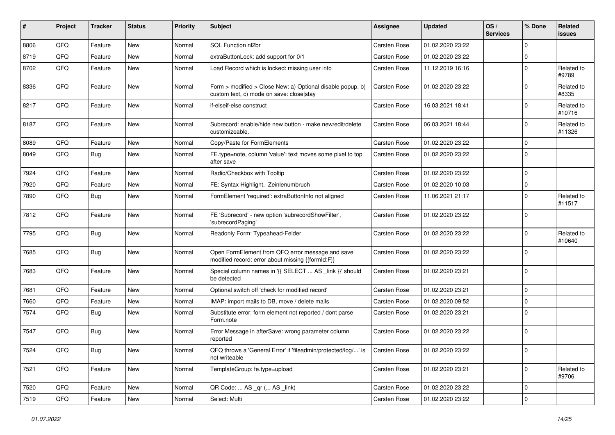| ∦    | Project | <b>Tracker</b> | <b>Status</b> | <b>Priority</b> | <b>Subject</b>                                                                                         | <b>Assignee</b>     | <b>Updated</b>   | OS/<br><b>Services</b> | % Done         | Related<br>issues    |
|------|---------|----------------|---------------|-----------------|--------------------------------------------------------------------------------------------------------|---------------------|------------------|------------------------|----------------|----------------------|
| 8806 | QFQ     | Feature        | New           | Normal          | SQL Function nl2br                                                                                     | Carsten Rose        | 01.02.2020 23:22 |                        | $\Omega$       |                      |
| 8719 | QFQ     | Feature        | <b>New</b>    | Normal          | extraButtonLock: add support for 0/1                                                                   | Carsten Rose        | 01.02.2020 23:22 |                        | $\mathbf 0$    |                      |
| 8702 | QFQ     | Feature        | New           | Normal          | Load Record which is locked: missing user info                                                         | <b>Carsten Rose</b> | 11.12.2019 16:16 |                        | $\mathbf 0$    | Related to<br>#9789  |
| 8336 | QFQ     | Feature        | New           | Normal          | Form > modified > Close New: a) Optional disable popup, b)<br>custom text, c) mode on save: close stay | <b>Carsten Rose</b> | 01.02.2020 23:22 |                        | $\Omega$       | Related to<br>#8335  |
| 8217 | QFQ     | Feature        | New           | Normal          | if-elseif-else construct                                                                               | <b>Carsten Rose</b> | 16.03.2021 18:41 |                        | $\Omega$       | Related to<br>#10716 |
| 8187 | QFQ     | Feature        | New           | Normal          | Subrecord: enable/hide new button - make new/edit/delete<br>customizeable.                             | <b>Carsten Rose</b> | 06.03.2021 18:44 |                        | $\Omega$       | Related to<br>#11326 |
| 8089 | QFQ     | Feature        | New           | Normal          | Copy/Paste for FormElements                                                                            | <b>Carsten Rose</b> | 01.02.2020 23:22 |                        | $\Omega$       |                      |
| 8049 | QFQ     | Bug            | New           | Normal          | FE.type=note, column 'value': text moves some pixel to top<br>after save                               | <b>Carsten Rose</b> | 01.02.2020 23:22 |                        | $\Omega$       |                      |
| 7924 | QFQ     | Feature        | New           | Normal          | Radio/Checkbox with Tooltip                                                                            | <b>Carsten Rose</b> | 01.02.2020 23:22 |                        | $\Omega$       |                      |
| 7920 | QFQ     | Feature        | New           | Normal          | FE: Syntax Highlight, Zeinlenumbruch                                                                   | <b>Carsten Rose</b> | 01.02.2020 10:03 |                        | $\mathbf 0$    |                      |
| 7890 | QFQ     | Bug            | New           | Normal          | FormElement 'required': extraButtonInfo not aligned                                                    | <b>Carsten Rose</b> | 11.06.2021 21:17 |                        | $\Omega$       | Related to<br>#11517 |
| 7812 | QFQ     | Feature        | New           | Normal          | FE 'Subrecord' - new option 'subrecordShowFilter',<br>'subrecordPaging'                                | <b>Carsten Rose</b> | 01.02.2020 23:22 |                        | $\overline{0}$ |                      |
| 7795 | QFQ     | Bug            | New           | Normal          | Readonly Form: Typeahead-Felder                                                                        | <b>Carsten Rose</b> | 01.02.2020 23:22 |                        | $\Omega$       | Related to<br>#10640 |
| 7685 | QFQ     | Bug            | New           | Normal          | Open FormElement from QFQ error message and save<br>modified record: error about missing {{formId:F}}  | <b>Carsten Rose</b> | 01.02.2020 23:22 |                        | $\Omega$       |                      |
| 7683 | QFQ     | Feature        | New           | Normal          | Special column names in '{{ SELECT  AS _link }}' should<br>be detected                                 | Carsten Rose        | 01.02.2020 23:21 |                        | $\Omega$       |                      |
| 7681 | QFQ     | Feature        | New           | Normal          | Optional switch off 'check for modified record'                                                        | <b>Carsten Rose</b> | 01.02.2020 23:21 |                        | $\mathbf 0$    |                      |
| 7660 | QFQ     | Feature        | New           | Normal          | IMAP: import mails to DB, move / delete mails                                                          | <b>Carsten Rose</b> | 01.02.2020 09:52 |                        | $\mathbf 0$    |                      |
| 7574 | QFQ     | Bug            | New           | Normal          | Substitute error: form element not reported / dont parse<br>Form.note                                  | <b>Carsten Rose</b> | 01.02.2020 23:21 |                        | $\Omega$       |                      |
| 7547 | QFQ     | Bug            | New           | Normal          | Error Message in afterSave: wrong parameter column<br>reported                                         | <b>Carsten Rose</b> | 01.02.2020 23:22 |                        | $\Omega$       |                      |
| 7524 | QFQ     | <b>Bug</b>     | New           | Normal          | QFQ throws a 'General Error' if 'fileadmin/protected/log/' is<br>not writeable                         | Carsten Rose        | 01.02.2020 23:22 |                        | $\overline{0}$ |                      |
| 7521 | QFQ     | Feature        | New           | Normal          | TemplateGroup: fe.type=upload                                                                          | Carsten Rose        | 01.02.2020 23:21 |                        | $\mathbf 0$    | Related to<br>#9706  |
| 7520 | QFQ     | Feature        | New           | Normal          | QR Code:  AS _qr ( AS _link)                                                                           | Carsten Rose        | 01.02.2020 23:22 |                        | $\overline{0}$ |                      |
| 7519 | QFQ     | Feature        | New           | Normal          | Select: Multi                                                                                          | Carsten Rose        | 01.02.2020 23:22 |                        | $\mathbf 0$    |                      |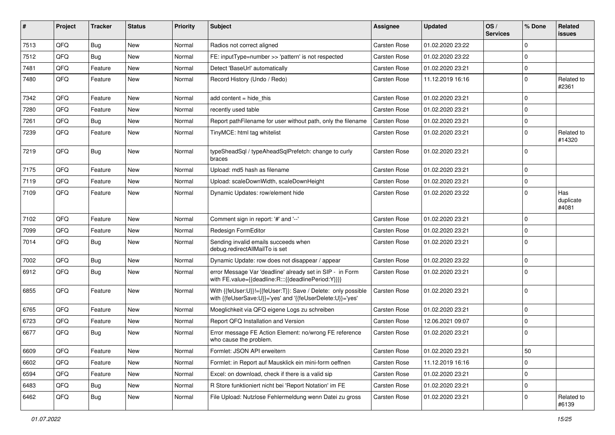| $\vert$ # | Project | <b>Tracker</b> | <b>Status</b> | <b>Priority</b> | <b>Subject</b>                                                                                                             | Assignee            | <b>Updated</b>   | OS/<br><b>Services</b> | % Done         | Related<br>issues         |
|-----------|---------|----------------|---------------|-----------------|----------------------------------------------------------------------------------------------------------------------------|---------------------|------------------|------------------------|----------------|---------------------------|
| 7513      | QFQ     | Bug            | New           | Normal          | Radios not correct aligned                                                                                                 | <b>Carsten Rose</b> | 01.02.2020 23:22 |                        | $\mathbf 0$    |                           |
| 7512      | QFQ     | Bug            | New           | Normal          | FE: inputType=number >> 'pattern' is not respected                                                                         | Carsten Rose        | 01.02.2020 23:22 |                        | $\mathbf 0$    |                           |
| 7481      | QFQ     | Feature        | New           | Normal          | Detect 'BaseUrl' automatically                                                                                             | Carsten Rose        | 01.02.2020 23:21 |                        | $\mathbf 0$    |                           |
| 7480      | QFQ     | Feature        | New           | Normal          | Record History (Undo / Redo)                                                                                               | Carsten Rose        | 11.12.2019 16:16 |                        | $\mathbf 0$    | Related to<br>#2361       |
| 7342      | QFQ     | Feature        | New           | Normal          | add content $=$ hide this                                                                                                  | <b>Carsten Rose</b> | 01.02.2020 23:21 |                        | $\mathbf 0$    |                           |
| 7280      | QFQ     | Feature        | New           | Normal          | recently used table                                                                                                        | <b>Carsten Rose</b> | 01.02.2020 23:21 |                        | $\mathbf 0$    |                           |
| 7261      | QFQ     | Bug            | New           | Normal          | Report pathFilename for user without path, only the filename                                                               | Carsten Rose        | 01.02.2020 23:21 |                        | $\mathbf 0$    |                           |
| 7239      | QFQ     | Feature        | New           | Normal          | TinyMCE: html tag whitelist                                                                                                | Carsten Rose        | 01.02.2020 23:21 |                        | $\mathbf 0$    | Related to<br>#14320      |
| 7219      | QFQ     | Bug            | New           | Normal          | typeSheadSql / typeAheadSqlPrefetch: change to curly<br>braces                                                             | <b>Carsten Rose</b> | 01.02.2020 23:21 |                        | $\mathbf 0$    |                           |
| 7175      | QFQ     | Feature        | <b>New</b>    | Normal          | Upload: md5 hash as filename                                                                                               | Carsten Rose        | 01.02.2020 23:21 |                        | $\mathbf 0$    |                           |
| 7119      | QFQ     | Feature        | New           | Normal          | Upload: scaleDownWidth, scaleDownHeight                                                                                    | Carsten Rose        | 01.02.2020 23:21 |                        | $\mathbf 0$    |                           |
| 7109      | QFQ     | Feature        | New           | Normal          | Dynamic Updates: row/element hide                                                                                          | Carsten Rose        | 01.02.2020 23:22 |                        | $\Omega$       | Has<br>duplicate<br>#4081 |
| 7102      | QFQ     | Feature        | New           | Normal          | Comment sign in report: '#' and '--'                                                                                       | Carsten Rose        | 01.02.2020 23:21 |                        | $\mathbf 0$    |                           |
| 7099      | QFQ     | Feature        | New           | Normal          | Redesign FormEditor                                                                                                        | Carsten Rose        | 01.02.2020 23:21 |                        | $\mathbf 0$    |                           |
| 7014      | QFQ     | Bug            | New           | Normal          | Sending invalid emails succeeds when<br>debug.redirectAllMailTo is set                                                     | Carsten Rose        | 01.02.2020 23:21 |                        | $\Omega$       |                           |
| 7002      | QFQ     | Bug            | New           | Normal          | Dynamic Update: row does not disappear / appear                                                                            | <b>Carsten Rose</b> | 01.02.2020 23:22 |                        | $\mathbf 0$    |                           |
| 6912      | QFQ     | Bug            | New           | Normal          | error Message Var 'deadline' already set in SIP - in Form<br>with FE.value={{deadline:R:::{{deadlinePeriod:Y}}}}           | Carsten Rose        | 01.02.2020 23:21 |                        | $\Omega$       |                           |
| 6855      | QFQ     | Feature        | New           | Normal          | With {{feUser:U}}!={{feUser:T}}: Save / Delete: only possible<br>with {{feUserSave:U}}='yes' and '{{feUserDelete:U}}='yes' | <b>Carsten Rose</b> | 01.02.2020 23:21 |                        | $\overline{0}$ |                           |
| 6765      | QFQ     | Feature        | New           | Normal          | Moeglichkeit via QFQ eigene Logs zu schreiben                                                                              | Carsten Rose        | 01.02.2020 23:21 |                        | $\mathbf 0$    |                           |
| 6723      | QFQ     | Feature        | New           | Normal          | Report QFQ Installation and Version                                                                                        | <b>Carsten Rose</b> | 12.06.2021 09:07 |                        | $\mathbf 0$    |                           |
| 6677      | QFQ     | <b>Bug</b>     | New           | Normal          | Error message FE Action Element: no/wrong FE reference<br>who cause the problem.                                           | <b>Carsten Rose</b> | 01.02.2020 23:21 |                        | $\Omega$       |                           |
| 6609      | QFQ     | Feature        | New           | Normal          | Formlet: JSON API erweitern                                                                                                | Carsten Rose        | 01.02.2020 23:21 |                        | 50             |                           |
| 6602      | QFQ     | Feature        | New           | Normal          | Formlet: in Report auf Mausklick ein mini-form oeffnen                                                                     | Carsten Rose        | 11.12.2019 16:16 |                        | $\mathbf 0$    |                           |
| 6594      | QFQ     | Feature        | New           | Normal          | Excel: on download, check if there is a valid sip                                                                          | Carsten Rose        | 01.02.2020 23:21 |                        | $\mathbf 0$    |                           |
| 6483      | QFQ     | <b>Bug</b>     | New           | Normal          | R Store funktioniert nicht bei 'Report Notation' im FE                                                                     | Carsten Rose        | 01.02.2020 23:21 |                        | $\mathbf 0$    |                           |
| 6462      | QFQ     | <b>Bug</b>     | New           | Normal          | File Upload: Nutzlose Fehlermeldung wenn Datei zu gross                                                                    | Carsten Rose        | 01.02.2020 23:21 |                        | 0              | Related to<br>#6139       |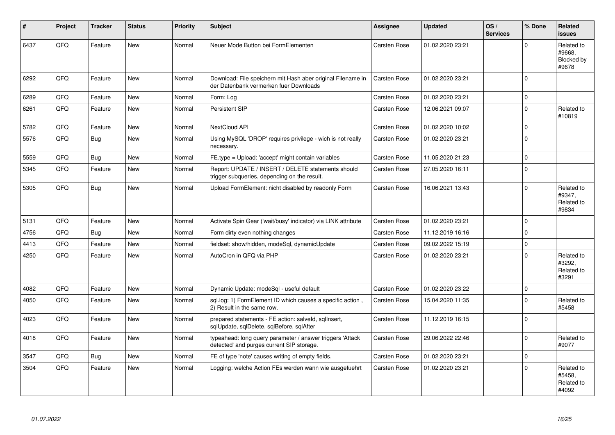| #    | Project | <b>Tracker</b> | <b>Status</b> | <b>Priority</b> | <b>Subject</b>                                                                                         | <b>Assignee</b>     | <b>Updated</b>   | OS/<br><b>Services</b> | % Done      | Related<br><b>issues</b>                    |
|------|---------|----------------|---------------|-----------------|--------------------------------------------------------------------------------------------------------|---------------------|------------------|------------------------|-------------|---------------------------------------------|
| 6437 | QFQ     | Feature        | <b>New</b>    | Normal          | Neuer Mode Button bei FormElementen                                                                    | <b>Carsten Rose</b> | 01.02.2020 23:21 |                        | 0           | Related to<br>#9668,<br>Blocked by<br>#9678 |
| 6292 | QFQ     | Feature        | New           | Normal          | Download: File speichern mit Hash aber original Filename in<br>der Datenbank vermerken fuer Downloads  | <b>Carsten Rose</b> | 01.02.2020 23:21 |                        | $\Omega$    |                                             |
| 6289 | QFQ     | Feature        | <b>New</b>    | Normal          | Form: Log                                                                                              | Carsten Rose        | 01.02.2020 23:21 |                        | $\Omega$    |                                             |
| 6261 | QFQ     | Feature        | <b>New</b>    | Normal          | Persistent SIP                                                                                         | Carsten Rose        | 12.06.2021 09:07 |                        | $\Omega$    | Related to<br>#10819                        |
| 5782 | QFQ     | Feature        | <b>New</b>    | Normal          | NextCloud API                                                                                          | <b>Carsten Rose</b> | 01.02.2020 10:02 |                        | $\Omega$    |                                             |
| 5576 | QFQ     | Bug            | New           | Normal          | Using MySQL 'DROP' requires privilege - wich is not really<br>necessary.                               | Carsten Rose        | 01.02.2020 23:21 |                        | $\Omega$    |                                             |
| 5559 | QFQ     | Bug            | <b>New</b>    | Normal          | FE.type = Upload: 'accept' might contain variables                                                     | <b>Carsten Rose</b> | 11.05.2020 21:23 |                        | $\Omega$    |                                             |
| 5345 | QFQ     | Feature        | New           | Normal          | Report: UPDATE / INSERT / DELETE statements should<br>trigger subqueries, depending on the result.     | Carsten Rose        | 27.05.2020 16:11 |                        | $\Omega$    |                                             |
| 5305 | QFQ     | Bug            | <b>New</b>    | Normal          | Upload FormElement: nicht disabled by readonly Form                                                    | <b>Carsten Rose</b> | 16.06.2021 13:43 |                        | $\Omega$    | Related to<br>#9347,<br>Related to<br>#9834 |
| 5131 | QFQ     | Feature        | New           | Normal          | Activate Spin Gear ('wait/busy' indicator) via LINK attribute                                          | <b>Carsten Rose</b> | 01.02.2020 23:21 |                        | $\Omega$    |                                             |
| 4756 | QFQ     | Bug            | New           | Normal          | Form dirty even nothing changes                                                                        | <b>Carsten Rose</b> | 11.12.2019 16:16 |                        | $\Omega$    |                                             |
| 4413 | QFQ     | Feature        | <b>New</b>    | Normal          | fieldset: show/hidden, modeSgl, dynamicUpdate                                                          | <b>Carsten Rose</b> | 09.02.2022 15:19 |                        | $\Omega$    |                                             |
| 4250 | QFQ     | Feature        | <b>New</b>    | Normal          | AutoCron in QFQ via PHP                                                                                | <b>Carsten Rose</b> | 01.02.2020 23:21 |                        | $\Omega$    | Related to<br>#3292,<br>Related to<br>#3291 |
| 4082 | QFQ     | Feature        | <b>New</b>    | Normal          | Dynamic Update: modeSql - useful default                                                               | <b>Carsten Rose</b> | 01.02.2020 23:22 |                        | $\mathbf 0$ |                                             |
| 4050 | QFQ     | Feature        | <b>New</b>    | Normal          | sgl.log: 1) FormElement ID which causes a specific action,<br>2) Result in the same row.               | Carsten Rose        | 15.04.2020 11:35 |                        | $\Omega$    | Related to<br>#5458                         |
| 4023 | QFQ     | Feature        | New           | Normal          | prepared statements - FE action: salveld, sqllnsert,<br>sglUpdate, sglDelete, sglBefore, sglAfter      | <b>Carsten Rose</b> | 11.12.2019 16:15 |                        | $\mathbf 0$ |                                             |
| 4018 | QFQ     | Feature        | New           | Normal          | typeahead: long query parameter / answer triggers 'Attack<br>detected' and purges current SIP storage. | <b>Carsten Rose</b> | 29.06.2022 22:46 |                        | $\Omega$    | Related to<br>#9077                         |
| 3547 | QFQ     | <b>Bug</b>     | <b>New</b>    | Normal          | FE of type 'note' causes writing of empty fields.                                                      | <b>Carsten Rose</b> | 01.02.2020 23:21 |                        | $\Omega$    |                                             |
| 3504 | QFQ     | Feature        | New           | Normal          | Logging: welche Action FEs werden wann wie ausgefuehrt                                                 | <b>Carsten Rose</b> | 01.02.2020 23:21 |                        | $\Omega$    | Related to<br>#5458,<br>Related to<br>#4092 |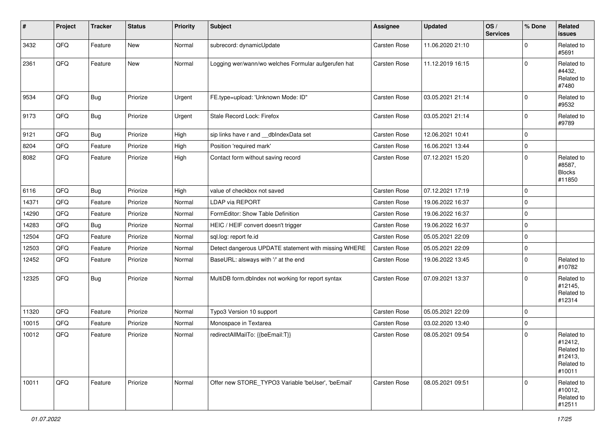| #     | Project | <b>Tracker</b> | <b>Status</b> | <b>Priority</b> | Subject                                              | <b>Assignee</b>     | <b>Updated</b>   | OS/<br><b>Services</b> | % Done      | Related<br><b>issues</b>                                               |
|-------|---------|----------------|---------------|-----------------|------------------------------------------------------|---------------------|------------------|------------------------|-------------|------------------------------------------------------------------------|
| 3432  | QFQ     | Feature        | New           | Normal          | subrecord: dynamicUpdate                             | Carsten Rose        | 11.06.2020 21:10 |                        | 0           | Related to<br>#5691                                                    |
| 2361  | QFQ     | Feature        | <b>New</b>    | Normal          | Logging wer/wann/wo welches Formular aufgerufen hat  | <b>Carsten Rose</b> | 11.12.2019 16:15 |                        | $\mathbf 0$ | Related to<br>#4432,<br>Related to<br>#7480                            |
| 9534  | QFQ     | Bug            | Priorize      | Urgent          | FE.type=upload: 'Unknown Mode: ID"                   | Carsten Rose        | 03.05.2021 21:14 |                        | $\Omega$    | Related to<br>#9532                                                    |
| 9173  | QFQ     | <b>Bug</b>     | Priorize      | Urgent          | Stale Record Lock: Firefox                           | <b>Carsten Rose</b> | 03.05.2021 21:14 |                        | $\mathbf 0$ | Related to<br>#9789                                                    |
| 9121  | QFQ     | <b>Bug</b>     | Priorize      | High            | sip links have r and __dbIndexData set               | <b>Carsten Rose</b> | 12.06.2021 10:41 |                        | $\Omega$    |                                                                        |
| 8204  | QFQ     | Feature        | Priorize      | High            | Position 'required mark'                             | Carsten Rose        | 16.06.2021 13:44 |                        | $\mathbf 0$ |                                                                        |
| 8082  | QFQ     | Feature        | Priorize      | High            | Contact form without saving record                   | <b>Carsten Rose</b> | 07.12.2021 15:20 |                        | $\Omega$    | Related to<br>#8587,<br><b>Blocks</b><br>#11850                        |
| 6116  | QFQ     | Bug            | Priorize      | High            | value of checkbox not saved                          | <b>Carsten Rose</b> | 07.12.2021 17:19 |                        | $\mathbf 0$ |                                                                        |
| 14371 | QFQ     | Feature        | Priorize      | Normal          | <b>LDAP via REPORT</b>                               | Carsten Rose        | 19.06.2022 16:37 |                        | $\mathbf 0$ |                                                                        |
| 14290 | QFQ     | Feature        | Priorize      | Normal          | FormEditor: Show Table Definition                    | Carsten Rose        | 19.06.2022 16:37 |                        | $\Omega$    |                                                                        |
| 14283 | QFQ     | <b>Bug</b>     | Priorize      | Normal          | HEIC / HEIF convert doesn't trigger                  | Carsten Rose        | 19.06.2022 16:37 |                        | $\mathbf 0$ |                                                                        |
| 12504 | QFQ     | Feature        | Priorize      | Normal          | sql.log: report fe.id                                | <b>Carsten Rose</b> | 05.05.2021 22:09 |                        | $\Omega$    |                                                                        |
| 12503 | QFQ     | Feature        | Priorize      | Normal          | Detect dangerous UPDATE statement with missing WHERE | Carsten Rose        | 05.05.2021 22:09 |                        | $\mathbf 0$ |                                                                        |
| 12452 | QFQ     | Feature        | Priorize      | Normal          | BaseURL: alsways with '/' at the end                 | Carsten Rose        | 19.06.2022 13:45 |                        | $\Omega$    | Related to<br>#10782                                                   |
| 12325 | QFQ     | <b>Bug</b>     | Priorize      | Normal          | MultiDB form.dblndex not working for report syntax   | <b>Carsten Rose</b> | 07.09.2021 13:37 |                        | $\Omega$    | Related to<br>#12145,<br>Related to<br>#12314                          |
| 11320 | QFQ     | Feature        | Priorize      | Normal          | Typo3 Version 10 support                             | Carsten Rose        | 05.05.2021 22:09 |                        | $\mathbf 0$ |                                                                        |
| 10015 | QFQ     | Feature        | Priorize      | Normal          | Monospace in Textarea                                | <b>Carsten Rose</b> | 03.02.2020 13:40 |                        | $\Omega$    |                                                                        |
| 10012 | QFQ     | Feature        | Priorize      | Normal          | redirectAllMailTo: {{beEmail:T}}                     | Carsten Rose        | 08.05.2021 09:54 |                        | $\mathbf 0$ | Related to<br>#12412,<br>Related to<br>#12413,<br>Related to<br>#10011 |
| 10011 | QFQ     | Feature        | Priorize      | Normal          | Offer new STORE_TYPO3 Variable 'beUser', 'beEmail'   | Carsten Rose        | 08.05.2021 09:51 |                        | $\Omega$    | Related to<br>#10012,<br>Related to<br>#12511                          |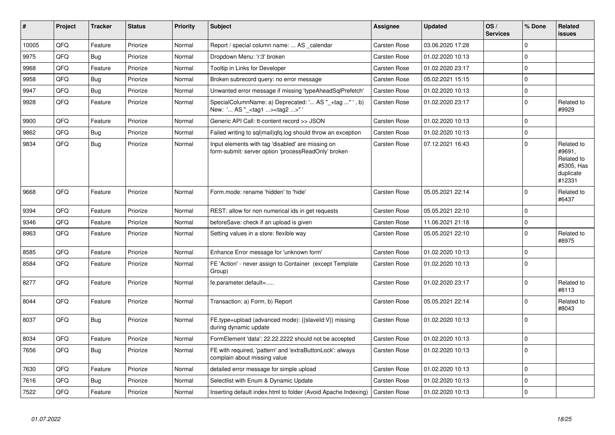| #     | Project | <b>Tracker</b> | <b>Status</b> | Priority | <b>Subject</b>                                                                                           | <b>Assignee</b>     | <b>Updated</b>   | OS/<br><b>Services</b> | % Done      | Related<br>issues                                                       |
|-------|---------|----------------|---------------|----------|----------------------------------------------------------------------------------------------------------|---------------------|------------------|------------------------|-------------|-------------------------------------------------------------------------|
| 10005 | QFQ     | Feature        | Priorize      | Normal   | Report / special column name:  AS calendar                                                               | <b>Carsten Rose</b> | 03.06.2020 17:28 |                        | $\Omega$    |                                                                         |
| 9975  | QFQ     | <b>Bug</b>     | Priorize      | Normal   | Dropdown Menu: 'r:3' broken                                                                              | Carsten Rose        | 01.02.2020 10:13 |                        | 0           |                                                                         |
| 9968  | QFQ     | Feature        | Priorize      | Normal   | Tooltip in Links for Developer                                                                           | <b>Carsten Rose</b> | 01.02.2020 23:17 |                        | $\Omega$    |                                                                         |
| 9958  | QFQ     | <b>Bug</b>     | Priorize      | Normal   | Broken subrecord query: no error message                                                                 | <b>Carsten Rose</b> | 05.02.2021 15:15 |                        | $\Omega$    |                                                                         |
| 9947  | QFQ     | <b>Bug</b>     | Priorize      | Normal   | Unwanted error message if missing 'typeAheadSqlPrefetch'                                                 | Carsten Rose        | 01.02.2020 10:13 |                        | $\mathbf 0$ |                                                                         |
| 9928  | QFQ     | Feature        | Priorize      | Normal   | SpecialColumnName: a) Deprecated: ' AS "_+tag " ', b)<br>New: ' AS "_ <tag1><tag2>"</tag2></tag1>        | <b>Carsten Rose</b> | 01.02.2020 23:17 |                        | $\Omega$    | Related to<br>#9929                                                     |
| 9900  | QFQ     | Feature        | Priorize      | Normal   | Generic API Call: tt-content record >> JSON                                                              | <b>Carsten Rose</b> | 01.02.2020 10:13 |                        | 0           |                                                                         |
| 9862  | QFQ     | <b>Bug</b>     | Priorize      | Normal   | Failed writing to sql mail qfq.log should throw an exception                                             | Carsten Rose        | 01.02.2020 10:13 |                        | $\mathbf 0$ |                                                                         |
| 9834  | QFQ     | <b>Bug</b>     | Priorize      | Normal   | Input elements with tag 'disabled' are missing on<br>form-submit: server option 'processReadOnly' broken | <b>Carsten Rose</b> | 07.12.2021 16:43 |                        | $\Omega$    | Related to<br>#9691,<br>Related to<br>#5305, Has<br>duplicate<br>#12331 |
| 9668  | QFQ     | Feature        | Priorize      | Normal   | Form.mode: rename 'hidden' to 'hide'                                                                     | <b>Carsten Rose</b> | 05.05.2021 22:14 |                        | $\Omega$    | Related to<br>#6437                                                     |
| 9394  | QFQ     | Feature        | Priorize      | Normal   | REST: allow for non numerical ids in get requests                                                        | <b>Carsten Rose</b> | 05.05.2021 22:10 |                        | $\Omega$    |                                                                         |
| 9346  | QFQ     | Feature        | Priorize      | Normal   | beforeSave: check if an upload is given                                                                  | Carsten Rose        | 11.06.2021 21:18 |                        | 0           |                                                                         |
| 8963  | QFQ     | Feature        | Priorize      | Normal   | Setting values in a store: flexible way                                                                  | Carsten Rose        | 05.05.2021 22:10 |                        | $\Omega$    | Related to<br>#8975                                                     |
| 8585  | QFQ     | Feature        | Priorize      | Normal   | Enhance Error message for 'unknown form'                                                                 | <b>Carsten Rose</b> | 01.02.2020 10:13 |                        | 0           |                                                                         |
| 8584  | QFQ     | Feature        | Priorize      | Normal   | FE 'Action' - never assign to Container (except Template<br>Group)                                       | Carsten Rose        | 01.02.2020 10:13 |                        | $\Omega$    |                                                                         |
| 8277  | QFQ     | Feature        | Priorize      | Normal   | fe.parameter.default=                                                                                    | Carsten Rose        | 01.02.2020 23:17 |                        | $\Omega$    | Related to<br>#8113                                                     |
| 8044  | QFQ     | Feature        | Priorize      | Normal   | Transaction: a) Form, b) Report                                                                          | Carsten Rose        | 05.05.2021 22:14 |                        | 0           | Related to<br>#8043                                                     |
| 8037  | QFQ     | <b>Bug</b>     | Priorize      | Normal   | FE.type=upload (advanced mode): {{slaveld:V}} missing<br>during dynamic update                           | Carsten Rose        | 01.02.2020 10:13 |                        | $\Omega$    |                                                                         |
| 8034  | QFQ     | Feature        | Priorize      | Normal   | FormElement 'data': 22.22.2222 should not be accepted                                                    | Carsten Rose        | 01.02.2020 10:13 |                        | $\Omega$    |                                                                         |
| 7656  | QFQ     | Bug            | Priorize      | Normal   | FE with required, 'pattern' and 'extraButtonLock': always<br>complain about missing value                | <b>Carsten Rose</b> | 01.02.2020 10:13 |                        | $\mathbf 0$ |                                                                         |
| 7630  | QFQ     | Feature        | Priorize      | Normal   | detailed error message for simple upload                                                                 | Carsten Rose        | 01.02.2020 10:13 |                        | 0           |                                                                         |
| 7616  | QFQ     | <b>Bug</b>     | Priorize      | Normal   | Selectlist with Enum & Dynamic Update                                                                    | Carsten Rose        | 01.02.2020 10:13 |                        | $\Omega$    |                                                                         |
| 7522  | QFQ     | Feature        | Priorize      | Normal   | Inserting default index.html to folder (Avoid Apache Indexing)                                           | <b>Carsten Rose</b> | 01.02.2020 10:13 |                        | $\Omega$    |                                                                         |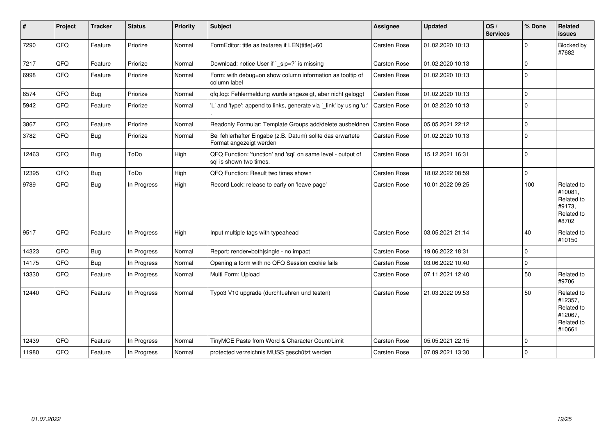| $\vert$ # | Project | <b>Tracker</b> | <b>Status</b> | <b>Priority</b> | <b>Subject</b>                                                                          | <b>Assignee</b>     | <b>Updated</b>   | OS/<br><b>Services</b> | % Done      | Related<br><b>issues</b>                                               |
|-----------|---------|----------------|---------------|-----------------|-----------------------------------------------------------------------------------------|---------------------|------------------|------------------------|-------------|------------------------------------------------------------------------|
| 7290      | QFQ     | Feature        | Priorize      | Normal          | FormEditor: title as textarea if LEN(title)>60                                          | Carsten Rose        | 01.02.2020 10:13 |                        | 0           | Blocked by<br>#7682                                                    |
| 7217      | QFQ     | Feature        | Priorize      | Normal          | Download: notice User if `_sip=?` is missing                                            | Carsten Rose        | 01.02.2020 10:13 |                        | $\mathbf 0$ |                                                                        |
| 6998      | QFQ     | Feature        | Priorize      | Normal          | Form: with debug=on show column information as tooltip of<br>column label               | <b>Carsten Rose</b> | 01.02.2020 10:13 |                        | $\Omega$    |                                                                        |
| 6574      | QFQ     | Bug            | Priorize      | Normal          | qfq.log: Fehlermeldung wurde angezeigt, aber nicht geloggt                              | <b>Carsten Rose</b> | 01.02.2020 10:13 |                        | $\mathbf 0$ |                                                                        |
| 5942      | QFQ     | Feature        | Priorize      | Normal          | 'L' and 'type': append to links, generate via '_link' by using 'u:'                     | <b>Carsten Rose</b> | 01.02.2020 10:13 |                        | $\Omega$    |                                                                        |
| 3867      | QFQ     | Feature        | Priorize      | Normal          | Readonly Formular: Template Groups add/delete ausbeldnen                                | Carsten Rose        | 05.05.2021 22:12 |                        | 0           |                                                                        |
| 3782      | QFQ     | Bug            | Priorize      | Normal          | Bei fehlerhafter Eingabe (z.B. Datum) sollte das erwartete<br>Format angezeigt werden   | Carsten Rose        | 01.02.2020 10:13 |                        | $\Omega$    |                                                                        |
| 12463     | QFQ     | <b>Bug</b>     | ToDo          | High            | QFQ Function: 'function' and 'sql' on same level - output of<br>sql is shown two times. | Carsten Rose        | 15.12.2021 16:31 |                        | $\mathbf 0$ |                                                                        |
| 12395     | QFQ     | Bug            | ToDo          | High            | QFQ Function: Result two times shown                                                    | Carsten Rose        | 18.02.2022 08:59 |                        | $\mathbf 0$ |                                                                        |
| 9789      | QFQ     | Bug            | In Progress   | High            | Record Lock: release to early on 'leave page'                                           | Carsten Rose        | 10.01.2022 09:25 |                        | 100         | Related to<br>#10081,<br>Related to<br>#9173,<br>Related to<br>#8702   |
| 9517      | QFQ     | Feature        | In Progress   | High            | Input multiple tags with typeahead                                                      | Carsten Rose        | 03.05.2021 21:14 |                        | 40          | Related to<br>#10150                                                   |
| 14323     | QFQ     | <b>Bug</b>     | In Progress   | Normal          | Report: render=both single - no impact                                                  | Carsten Rose        | 19.06.2022 18:31 |                        | 0           |                                                                        |
| 14175     | QFQ     | Bug            | In Progress   | Normal          | Opening a form with no QFQ Session cookie fails                                         | Carsten Rose        | 03.06.2022 10:40 |                        | $\Omega$    |                                                                        |
| 13330     | QFQ     | Feature        | In Progress   | Normal          | Multi Form: Upload                                                                      | Carsten Rose        | 07.11.2021 12:40 |                        | 50          | Related to<br>#9706                                                    |
| 12440     | QFQ     | Feature        | In Progress   | Normal          | Typo3 V10 upgrade (durchfuehren und testen)                                             | <b>Carsten Rose</b> | 21.03.2022 09:53 |                        | 50          | Related to<br>#12357,<br>Related to<br>#12067,<br>Related to<br>#10661 |
| 12439     | QFQ     | Feature        | In Progress   | Normal          | TinyMCE Paste from Word & Character Count/Limit                                         | Carsten Rose        | 05.05.2021 22:15 |                        | 0           |                                                                        |
| 11980     | QFQ     | Feature        | In Progress   | Normal          | protected verzeichnis MUSS geschützt werden                                             | Carsten Rose        | 07.09.2021 13:30 |                        | $\Omega$    |                                                                        |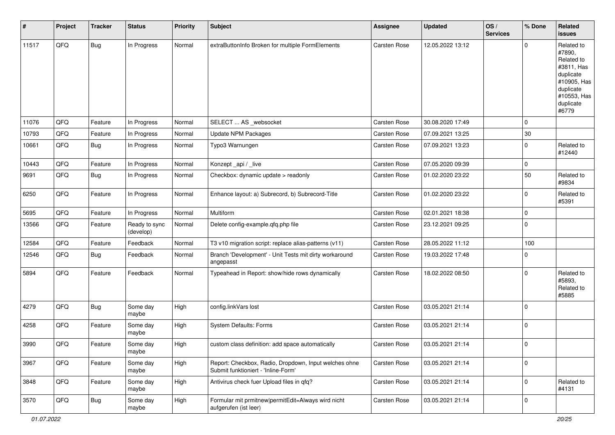| #     | Project | <b>Tracker</b> | <b>Status</b>              | <b>Priority</b> | <b>Subject</b>                                                                               | <b>Assignee</b>     | <b>Updated</b>   | OS/<br><b>Services</b> | % Done      | Related<br><b>issues</b>                                                                                                       |
|-------|---------|----------------|----------------------------|-----------------|----------------------------------------------------------------------------------------------|---------------------|------------------|------------------------|-------------|--------------------------------------------------------------------------------------------------------------------------------|
| 11517 | QFQ     | Bug            | In Progress                | Normal          | extraButtonInfo Broken for multiple FormElements                                             | Carsten Rose        | 12.05.2022 13:12 |                        | 0           | Related to<br>#7890,<br>Related to<br>#3811, Has<br>duplicate<br>#10905, Has<br>duplicate<br>#10553, Has<br>duplicate<br>#6779 |
| 11076 | QFQ     | Feature        | In Progress                | Normal          | SELECT  AS _websocket                                                                        | <b>Carsten Rose</b> | 30.08.2020 17:49 |                        | 0           |                                                                                                                                |
| 10793 | QFQ     | Feature        | In Progress                | Normal          | <b>Update NPM Packages</b>                                                                   | Carsten Rose        | 07.09.2021 13:25 |                        | $30\,$      |                                                                                                                                |
| 10661 | QFQ     | <b>Bug</b>     | In Progress                | Normal          | Typo3 Warnungen                                                                              | Carsten Rose        | 07.09.2021 13:23 |                        | 0           | Related to<br>#12440                                                                                                           |
| 10443 | QFQ     | Feature        | In Progress                | Normal          | Konzept_api / _live                                                                          | <b>Carsten Rose</b> | 07.05.2020 09:39 |                        | $\mathbf 0$ |                                                                                                                                |
| 9691  | QFQ     | Bug            | In Progress                | Normal          | Checkbox: dynamic update > readonly                                                          | Carsten Rose        | 01.02.2020 23:22 |                        | 50          | Related to<br>#9834                                                                                                            |
| 6250  | QFQ     | Feature        | In Progress                | Normal          | Enhance layout: a) Subrecord, b) Subrecord-Title                                             | <b>Carsten Rose</b> | 01.02.2020 23:22 |                        | 0           | Related to<br>#5391                                                                                                            |
| 5695  | QFQ     | Feature        | In Progress                | Normal          | Multiform                                                                                    | Carsten Rose        | 02.01.2021 18:38 |                        | 0           |                                                                                                                                |
| 13566 | QFQ     | Feature        | Ready to sync<br>(develop) | Normal          | Delete config-example.qfq.php file                                                           | Carsten Rose        | 23.12.2021 09:25 |                        | $\Omega$    |                                                                                                                                |
| 12584 | QFQ     | Feature        | Feedback                   | Normal          | T3 v10 migration script: replace alias-patterns (v11)                                        | Carsten Rose        | 28.05.2022 11:12 |                        | 100         |                                                                                                                                |
| 12546 | QFQ     | <b>Bug</b>     | Feedback                   | Normal          | Branch 'Development' - Unit Tests mit dirty workaround<br>angepasst                          | Carsten Rose        | 19.03.2022 17:48 |                        | 0           |                                                                                                                                |
| 5894  | QFQ     | Feature        | Feedback                   | Normal          | Typeahead in Report: show/hide rows dynamically                                              | <b>Carsten Rose</b> | 18.02.2022 08:50 |                        | 0           | Related to<br>#5893,<br>Related to<br>#5885                                                                                    |
| 4279  | QFQ     | Bug            | Some day<br>maybe          | High            | config.linkVars lost                                                                         | Carsten Rose        | 03.05.2021 21:14 |                        | 0           |                                                                                                                                |
| 4258  | QFQ     | Feature        | Some day<br>maybe          | High            | <b>System Defaults: Forms</b>                                                                | Carsten Rose        | 03.05.2021 21:14 |                        | 0           |                                                                                                                                |
| 3990  | QFQ     | Feature        | Some day<br>maybe          | High            | custom class definition: add space automatically                                             | Carsten Rose        | 03.05.2021 21:14 |                        | $\mathbf 0$ |                                                                                                                                |
| 3967  | QFO     | Feature        | Some day<br>maybe          | High            | Report: Checkbox, Radio, Dropdown, Input welches ohne<br>Submit funktioniert - 'Inline-Form' | Carsten Rose        | 03.05.2021 21:14 |                        | $\mathbf 0$ |                                                                                                                                |
| 3848  | QFG     | Feature        | Some day<br>maybe          | High            | Antivirus check fuer Upload files in qfq?                                                    | Carsten Rose        | 03.05.2021 21:14 |                        | $\mathbf 0$ | Related to<br>#4131                                                                                                            |
| 3570  | QFO     | Bug            | Some day<br>maybe          | High            | Formular mit prmitnew permitEdit=Always wird nicht<br>aufgerufen (ist leer)                  | Carsten Rose        | 03.05.2021 21:14 |                        | 0           |                                                                                                                                |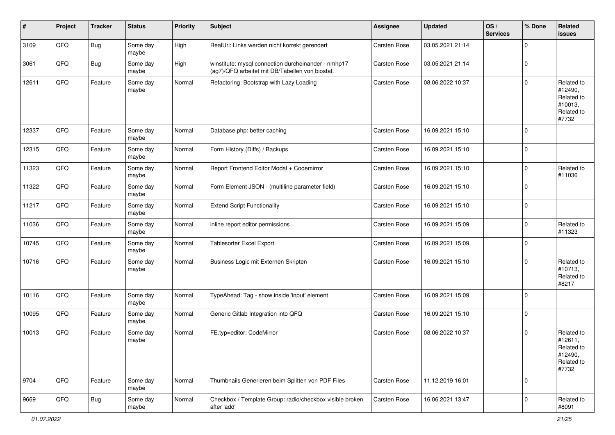| #     | Project | <b>Tracker</b> | <b>Status</b>     | <b>Priority</b> | Subject                                                                                                | <b>Assignee</b>     | <b>Updated</b>   | OS/<br><b>Services</b> | % Done         | Related<br>issues                                                     |
|-------|---------|----------------|-------------------|-----------------|--------------------------------------------------------------------------------------------------------|---------------------|------------------|------------------------|----------------|-----------------------------------------------------------------------|
| 3109  | QFQ     | Bug            | Some day<br>maybe | High            | RealUrl: Links werden nicht korrekt gerendert                                                          | Carsten Rose        | 03.05.2021 21:14 |                        | $\Omega$       |                                                                       |
| 3061  | QFQ     | Bug            | Some day<br>maybe | High            | winstitute: mysql connection durcheinander - nmhp17<br>(ag7)/QFQ arbeitet mit DB/Tabellen von biostat. | <b>Carsten Rose</b> | 03.05.2021 21:14 |                        | $\mathbf 0$    |                                                                       |
| 12611 | QFQ     | Feature        | Some day<br>maybe | Normal          | Refactoring: Bootstrap with Lazy Loading                                                               | <b>Carsten Rose</b> | 08.06.2022 10:37 |                        | $\Omega$       | Related to<br>#12490,<br>Related to<br>#10013,<br>Related to<br>#7732 |
| 12337 | QFQ     | Feature        | Some day<br>maybe | Normal          | Database.php: better caching                                                                           | <b>Carsten Rose</b> | 16.09.2021 15:10 |                        | $\Omega$       |                                                                       |
| 12315 | QFQ     | Feature        | Some day<br>maybe | Normal          | Form History (Diffs) / Backups                                                                         | Carsten Rose        | 16.09.2021 15:10 |                        | $\overline{0}$ |                                                                       |
| 11323 | QFQ     | Feature        | Some day<br>maybe | Normal          | Report Frontend Editor Modal + Codemirror                                                              | <b>Carsten Rose</b> | 16.09.2021 15:10 |                        | $\mathbf 0$    | Related to<br>#11036                                                  |
| 11322 | QFQ     | Feature        | Some day<br>maybe | Normal          | Form Element JSON - (multiline parameter field)                                                        | <b>Carsten Rose</b> | 16.09.2021 15:10 |                        | $\Omega$       |                                                                       |
| 11217 | QFQ     | Feature        | Some day<br>maybe | Normal          | <b>Extend Script Functionality</b>                                                                     | Carsten Rose        | 16.09.2021 15:10 |                        | $\overline{0}$ |                                                                       |
| 11036 | QFQ     | Feature        | Some day<br>maybe | Normal          | inline report editor permissions                                                                       | <b>Carsten Rose</b> | 16.09.2021 15:09 |                        | $\mathbf 0$    | Related to<br>#11323                                                  |
| 10745 | QFQ     | Feature        | Some day<br>maybe | Normal          | <b>Tablesorter Excel Export</b>                                                                        | Carsten Rose        | 16.09.2021 15:09 |                        | $\overline{0}$ |                                                                       |
| 10716 | QFQ     | Feature        | Some day<br>maybe | Normal          | Business Logic mit Externen Skripten                                                                   | <b>Carsten Rose</b> | 16.09.2021 15:10 |                        | $\Omega$       | Related to<br>#10713,<br>Related to<br>#8217                          |
| 10116 | QFQ     | Feature        | Some day<br>maybe | Normal          | TypeAhead: Tag - show inside 'input' element                                                           | <b>Carsten Rose</b> | 16.09.2021 15:09 |                        | $\overline{0}$ |                                                                       |
| 10095 | QFQ     | Feature        | Some day<br>maybe | Normal          | Generic Gitlab Integration into QFQ                                                                    | <b>Carsten Rose</b> | 16.09.2021 15:10 |                        | $\Omega$       |                                                                       |
| 10013 | QFQ     | Feature        | Some day<br>maybe | Normal          | FE.typ=editor: CodeMirror                                                                              | Carsten Rose        | 08.06.2022 10:37 |                        | $\mathbf 0$    | Related to<br>#12611,<br>Related to<br>#12490,<br>Related to<br>#7732 |
| 9704  | QFQ     | Feature        | Some day<br>maybe | Normal          | Thumbnails Generieren beim Splitten von PDF Files                                                      | Carsten Rose        | 11.12.2019 16:01 |                        | $\overline{0}$ |                                                                       |
| 9669  | QFQ     | <b>Bug</b>     | Some day<br>maybe | Normal          | Checkbox / Template Group: radio/checkbox visible broken<br>after 'add'                                | Carsten Rose        | 16.06.2021 13:47 |                        | $\mathbf 0$    | Related to<br>#8091                                                   |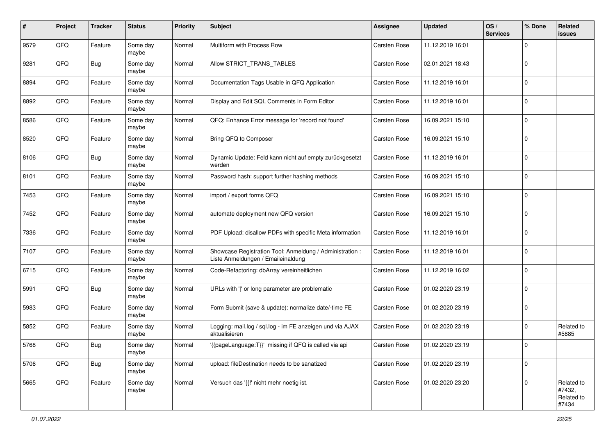| $\#$ | Project | <b>Tracker</b> | <b>Status</b>     | <b>Priority</b> | <b>Subject</b>                                                                                 | Assignee            | <b>Updated</b>   | OS/<br><b>Services</b> | % Done      | Related<br>issues                           |
|------|---------|----------------|-------------------|-----------------|------------------------------------------------------------------------------------------------|---------------------|------------------|------------------------|-------------|---------------------------------------------|
| 9579 | QFQ     | Feature        | Some day<br>maybe | Normal          | Multiform with Process Row                                                                     | Carsten Rose        | 11.12.2019 16:01 |                        | $\mathbf 0$ |                                             |
| 9281 | QFQ     | <b>Bug</b>     | Some day<br>maybe | Normal          | Allow STRICT TRANS TABLES                                                                      | <b>Carsten Rose</b> | 02.01.2021 18:43 |                        | $\mathbf 0$ |                                             |
| 8894 | QFQ     | Feature        | Some day<br>maybe | Normal          | Documentation Tags Usable in QFQ Application                                                   | Carsten Rose        | 11.12.2019 16:01 |                        | 0           |                                             |
| 8892 | QFQ     | Feature        | Some day<br>maybe | Normal          | Display and Edit SQL Comments in Form Editor                                                   | <b>Carsten Rose</b> | 11.12.2019 16:01 |                        | 0           |                                             |
| 8586 | QFQ     | Feature        | Some day<br>maybe | Normal          | QFQ: Enhance Error message for 'record not found'                                              | Carsten Rose        | 16.09.2021 15:10 |                        | 0           |                                             |
| 8520 | QFQ     | Feature        | Some day<br>maybe | Normal          | Bring QFQ to Composer                                                                          | Carsten Rose        | 16.09.2021 15:10 |                        | $\mathbf 0$ |                                             |
| 8106 | QFQ     | <b>Bug</b>     | Some day<br>maybe | Normal          | Dynamic Update: Feld kann nicht auf empty zurückgesetzt<br>werden                              | Carsten Rose        | 11.12.2019 16:01 |                        | $\mathbf 0$ |                                             |
| 8101 | QFQ     | Feature        | Some day<br>maybe | Normal          | Password hash: support further hashing methods                                                 | Carsten Rose        | 16.09.2021 15:10 |                        | 0           |                                             |
| 7453 | QFQ     | Feature        | Some day<br>maybe | Normal          | import / export forms QFQ                                                                      | Carsten Rose        | 16.09.2021 15:10 |                        | $\mathbf 0$ |                                             |
| 7452 | QFQ     | Feature        | Some day<br>maybe | Normal          | automate deployment new QFQ version                                                            | Carsten Rose        | 16.09.2021 15:10 |                        | $\mathbf 0$ |                                             |
| 7336 | QFQ     | Feature        | Some day<br>maybe | Normal          | PDF Upload: disallow PDFs with specific Meta information                                       | <b>Carsten Rose</b> | 11.12.2019 16:01 |                        | $\mathbf 0$ |                                             |
| 7107 | QFQ     | Feature        | Some day<br>maybe | Normal          | Showcase Registration Tool: Anmeldung / Administration :<br>Liste Anmeldungen / Emaileinaldung | Carsten Rose        | 11.12.2019 16:01 |                        | 0           |                                             |
| 6715 | QFQ     | Feature        | Some day<br>maybe | Normal          | Code-Refactoring: dbArray vereinheitlichen                                                     | Carsten Rose        | 11.12.2019 16:02 |                        | $\mathbf 0$ |                                             |
| 5991 | QFQ     | <b>Bug</b>     | Some day<br>maybe | Normal          | URLs with ' ' or long parameter are problematic                                                | Carsten Rose        | 01.02.2020 23:19 |                        | $\mathbf 0$ |                                             |
| 5983 | QFQ     | Feature        | Some day<br>maybe | Normal          | Form Submit (save & update): normalize date/-time FE                                           | Carsten Rose        | 01.02.2020 23:19 |                        | $\mathbf 0$ |                                             |
| 5852 | QFQ     | Feature        | Some day<br>maybe | Normal          | Logging: mail.log / sql.log - im FE anzeigen und via AJAX<br>aktualisieren                     | Carsten Rose        | 01.02.2020 23:19 |                        | $\mathbf 0$ | Related to<br>#5885                         |
| 5768 | QFQ     | Bug            | Some day<br>maybe | Normal          | '{{pageLanguage:T}}' missing if QFQ is called via api                                          | <b>Carsten Rose</b> | 01.02.2020 23:19 |                        | 0           |                                             |
| 5706 | QFQ     | <b>Bug</b>     | Some day<br>maybe | Normal          | upload: fileDestination needs to be sanatized                                                  | Carsten Rose        | 01.02.2020 23:19 |                        | $\mathbf 0$ |                                             |
| 5665 | QFQ     | Feature        | Some day<br>maybe | Normal          | Versuch das '{{!' nicht mehr noetig ist.                                                       | Carsten Rose        | 01.02.2020 23:20 |                        | 0           | Related to<br>#7432,<br>Related to<br>#7434 |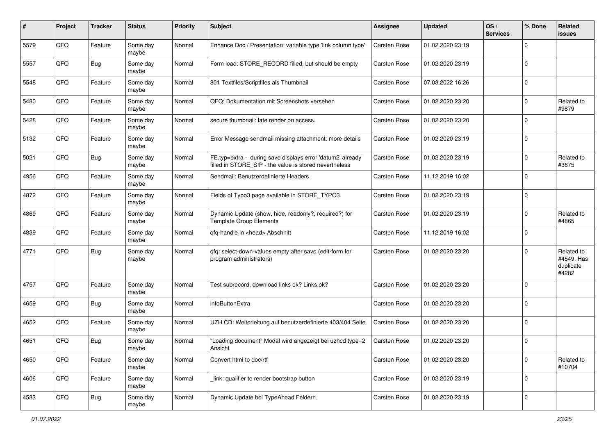| #    | Project | <b>Tracker</b> | <b>Status</b>     | <b>Priority</b> | Subject                                                                                                              | <b>Assignee</b>     | <b>Updated</b>   | OS/<br><b>Services</b> | % Done         | Related<br>issues                              |
|------|---------|----------------|-------------------|-----------------|----------------------------------------------------------------------------------------------------------------------|---------------------|------------------|------------------------|----------------|------------------------------------------------|
| 5579 | QFQ     | Feature        | Some day<br>maybe | Normal          | Enhance Doc / Presentation: variable type 'link column type'                                                         | <b>Carsten Rose</b> | 01.02.2020 23:19 |                        | $\Omega$       |                                                |
| 5557 | QFQ     | <b>Bug</b>     | Some day<br>maybe | Normal          | Form load: STORE RECORD filled, but should be empty                                                                  | <b>Carsten Rose</b> | 01.02.2020 23:19 |                        | $\mathbf 0$    |                                                |
| 5548 | QFQ     | Feature        | Some day<br>maybe | Normal          | 801 Textfiles/Scriptfiles als Thumbnail                                                                              | Carsten Rose        | 07.03.2022 16:26 |                        | $\Omega$       |                                                |
| 5480 | QFQ     | Feature        | Some day<br>maybe | Normal          | QFQ: Dokumentation mit Screenshots versehen                                                                          | Carsten Rose        | 01.02.2020 23:20 |                        | $\mathbf 0$    | Related to<br>#9879                            |
| 5428 | QFQ     | Feature        | Some day<br>maybe | Normal          | secure thumbnail: late render on access.                                                                             | Carsten Rose        | 01.02.2020 23:20 |                        | $\Omega$       |                                                |
| 5132 | QFQ     | Feature        | Some day<br>maybe | Normal          | Error Message sendmail missing attachment: more details                                                              | <b>Carsten Rose</b> | 01.02.2020 23:19 |                        | $\Omega$       |                                                |
| 5021 | QFQ     | Bug            | Some day<br>maybe | Normal          | FE.typ=extra - during save displays error 'datum2' already<br>filled in STORE_SIP - the value is stored nevertheless | <b>Carsten Rose</b> | 01.02.2020 23:19 |                        | $\Omega$       | Related to<br>#3875                            |
| 4956 | QFQ     | Feature        | Some day<br>maybe | Normal          | Sendmail: Benutzerdefinierte Headers                                                                                 | <b>Carsten Rose</b> | 11.12.2019 16:02 |                        | $\mathbf 0$    |                                                |
| 4872 | QFQ     | Feature        | Some day<br>maybe | Normal          | Fields of Typo3 page available in STORE_TYPO3                                                                        | <b>Carsten Rose</b> | 01.02.2020 23:19 |                        | $\overline{0}$ |                                                |
| 4869 | QFQ     | Feature        | Some day<br>maybe | Normal          | Dynamic Update (show, hide, readonly?, required?) for<br><b>Template Group Elements</b>                              | Carsten Rose        | 01.02.2020 23:19 |                        | $\Omega$       | Related to<br>#4865                            |
| 4839 | QFQ     | Feature        | Some day<br>maybe | Normal          | qfq-handle in <head> Abschnitt</head>                                                                                | Carsten Rose        | 11.12.2019 16:02 |                        | $\Omega$       |                                                |
| 4771 | QFQ     | <b>Bug</b>     | Some day<br>maybe | Normal          | qfq: select-down-values empty after save (edit-form for<br>program administrators)                                   | Carsten Rose        | 01.02.2020 23:20 |                        | $\Omega$       | Related to<br>#4549, Has<br>duplicate<br>#4282 |
| 4757 | QFQ     | Feature        | Some day<br>maybe | Normal          | Test subrecord: download links ok? Links ok?                                                                         | <b>Carsten Rose</b> | 01.02.2020 23:20 |                        | $\Omega$       |                                                |
| 4659 | QFQ     | <b>Bug</b>     | Some day<br>maybe | Normal          | infoButtonExtra                                                                                                      | Carsten Rose        | 01.02.2020 23:20 |                        | $\Omega$       |                                                |
| 4652 | QFQ     | Feature        | Some day<br>maybe | Normal          | UZH CD: Weiterleitung auf benutzerdefinierte 403/404 Seite                                                           | <b>Carsten Rose</b> | 01.02.2020 23:20 |                        | $\Omega$       |                                                |
| 4651 | QFQ     | <b>Bug</b>     | Some day<br>maybe | Normal          | "Loading document" Modal wird angezeigt bei uzhcd type=2<br>Ansicht                                                  | <b>Carsten Rose</b> | 01.02.2020 23:20 |                        | $\Omega$       |                                                |
| 4650 | QFQ     | Feature        | Some day<br>maybe | Normal          | Convert html to doc/rtf                                                                                              | Carsten Rose        | 01.02.2020 23:20 |                        | $\mathbf{0}$   | Related to<br>#10704                           |
| 4606 | QFQ     | Feature        | Some day<br>maybe | Normal          | link: qualifier to render bootstrap button                                                                           | Carsten Rose        | 01.02.2020 23:19 |                        | $\overline{0}$ |                                                |
| 4583 | QFQ     | <b>Bug</b>     | Some day<br>maybe | Normal          | Dynamic Update bei TypeAhead Feldern                                                                                 | Carsten Rose        | 01.02.2020 23:19 |                        | $\overline{0}$ |                                                |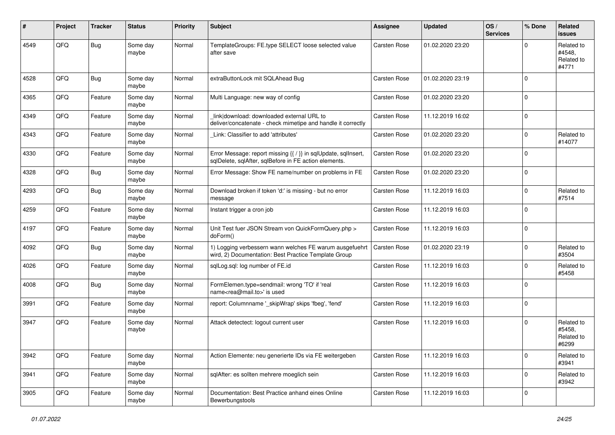| ∦    | Project | <b>Tracker</b> | <b>Status</b>     | <b>Priority</b> | <b>Subject</b>                                                                                                          | <b>Assignee</b>     | <b>Updated</b>   | OS/<br><b>Services</b> | % Done       | Related<br><b>issues</b>                    |
|------|---------|----------------|-------------------|-----------------|-------------------------------------------------------------------------------------------------------------------------|---------------------|------------------|------------------------|--------------|---------------------------------------------|
| 4549 | QFQ     | Bug            | Some day<br>maybe | Normal          | TemplateGroups: FE.type SELECT loose selected value<br>after save                                                       | Carsten Rose        | 01.02.2020 23:20 |                        | <sup>0</sup> | Related to<br>#4548.<br>Related to<br>#4771 |
| 4528 | QFQ     | Bug            | Some day<br>maybe | Normal          | extraButtonLock mit SQLAhead Bug                                                                                        | Carsten Rose        | 01.02.2020 23:19 |                        | <sup>0</sup> |                                             |
| 4365 | QFQ     | Feature        | Some day<br>maybe | Normal          | Multi Language: new way of config                                                                                       | Carsten Rose        | 01.02.2020 23:20 |                        | $\Omega$     |                                             |
| 4349 | QFQ     | Feature        | Some day<br>maybe | Normal          | link download: downloaded external URL to<br>deliver/concatenate - check mimetipe and handle it correctly               | <b>Carsten Rose</b> | 11.12.2019 16:02 |                        | $\Omega$     |                                             |
| 4343 | QFQ     | Feature        | Some day<br>maybe | Normal          | Link: Classifier to add 'attributes'                                                                                    | Carsten Rose        | 01.02.2020 23:20 |                        | 0            | Related to<br>#14077                        |
| 4330 | QFQ     | Feature        | Some day<br>maybe | Normal          | Error Message: report missing {{ / }} in sqlUpdate, sqlInsert,<br>sqlDelete, sqlAfter, sqlBefore in FE action elements. | <b>Carsten Rose</b> | 01.02.2020 23:20 |                        | $\Omega$     |                                             |
| 4328 | QFQ     | <b>Bug</b>     | Some day<br>maybe | Normal          | Error Message: Show FE name/number on problems in FE                                                                    | <b>Carsten Rose</b> | 01.02.2020 23:20 |                        | $\mathbf 0$  |                                             |
| 4293 | QFQ     | Bug            | Some day<br>maybe | Normal          | Download broken if token 'd:' is missing - but no error<br>message                                                      | Carsten Rose        | 11.12.2019 16:03 |                        | $\Omega$     | Related to<br>#7514                         |
| 4259 | QFQ     | Feature        | Some day<br>maybe | Normal          | Instant trigger a cron job                                                                                              | Carsten Rose        | 11.12.2019 16:03 |                        | 0            |                                             |
| 4197 | QFQ     | Feature        | Some day<br>maybe | Normal          | Unit Test fuer JSON Stream von QuickFormQuery.php ><br>doForm()                                                         | Carsten Rose        | 11.12.2019 16:03 |                        | $\Omega$     |                                             |
| 4092 | QFQ     | Bug            | Some day<br>maybe | Normal          | 1) Logging verbessern wann welches FE warum ausgefuehrt<br>wird, 2) Documentation: Best Practice Template Group         | <b>Carsten Rose</b> | 01.02.2020 23:19 |                        | 0            | Related to<br>#3504                         |
| 4026 | QFQ     | Feature        | Some day<br>maybe | Normal          | sqlLog.sql: log number of FE.id                                                                                         | Carsten Rose        | 11.12.2019 16:03 |                        | U            | Related to<br>#5458                         |
| 4008 | QFQ     | Bug            | Some day<br>maybe | Normal          | FormElemen.type=sendmail: wrong 'TO' if 'real<br>name <rea@mail.to>' is used</rea@mail.to>                              | <b>Carsten Rose</b> | 11.12.2019 16:03 |                        | $\Omega$     |                                             |
| 3991 | QFQ     | Feature        | Some day<br>maybe | Normal          | report: Columnname '_skipWrap' skips 'fbeg', 'fend'                                                                     | Carsten Rose        | 11.12.2019 16:03 |                        | 0            |                                             |
| 3947 | QFQ     | Feature        | Some day<br>maybe | Normal          | Attack detectect: logout current user                                                                                   | Carsten Rose        | 11.12.2019 16:03 |                        | 0            | Related to<br>#5458,<br>Related to<br>#6299 |
| 3942 | QFO     | Feature        | Some day<br>maybe | Normal          | Action Elemente: neu generierte IDs via FE weitergeben                                                                  | Carsten Rose        | 11.12.2019 16:03 |                        | $\mathbf 0$  | Related to<br>#3941                         |
| 3941 | QFQ     | Feature        | Some day<br>maybe | Normal          | sqlAfter: es sollten mehrere moeglich sein                                                                              | Carsten Rose        | 11.12.2019 16:03 |                        | 0            | Related to<br>#3942                         |
| 3905 | QFQ     | Feature        | Some day<br>maybe | Normal          | Documentation: Best Practice anhand eines Online<br>Bewerbungstools                                                     | Carsten Rose        | 11.12.2019 16:03 |                        | $\Omega$     |                                             |